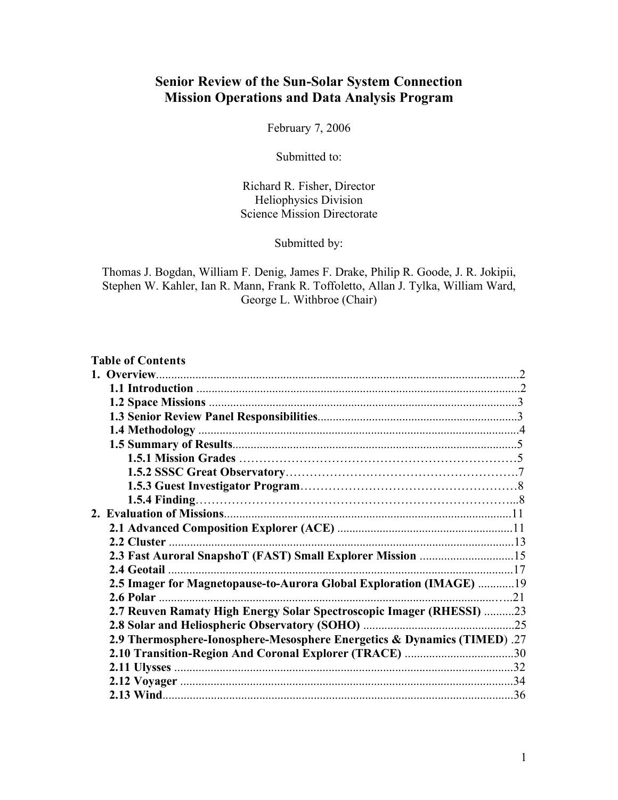### **Senior Review of the Sun-Solar System Connection Mission Operations and Data Analysis Program**

February 7, 2006

Submitted to:

Richard R. Fisher, Director Heliophysics Division Science Mission Directorate

Submitted by:

Thomas J. Bogdan, William F. Denig, James F. Drake, Philip R. Goode, J. R. Jokipii, Stephen W. Kahler, Ian R. Mann, Frank R. Toffoletto, Allan J. Tylka, William Ward, George L. Withbroe (Chair)

#### **Table of Contents**

| 2.4 Geotail                                                              |  |
|--------------------------------------------------------------------------|--|
| 2.5 Imager for Magnetopause-to-Aurora Global Exploration (IMAGE) 19      |  |
|                                                                          |  |
| 2.7 Reuven Ramaty High Energy Solar Spectroscopic Imager (RHESSI) 23     |  |
|                                                                          |  |
| 2.9 Thermosphere-Ionosphere-Mesosphere Energetics & Dynamics (TIMED) .27 |  |
| 2.10 Transition-Region And Coronal Explorer (TRACE) 30                   |  |
|                                                                          |  |
|                                                                          |  |
|                                                                          |  |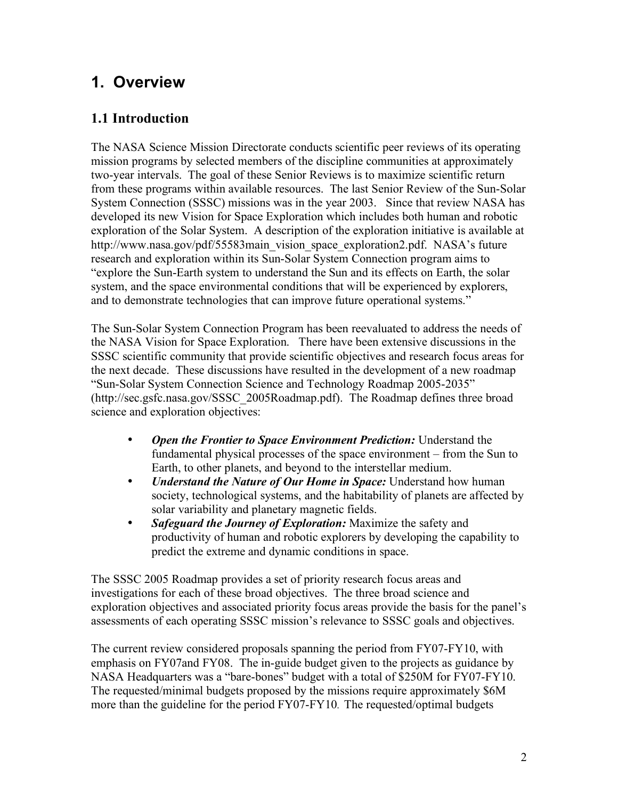# **1. Overview**

# **1.1 Introduction**

The NASA Science Mission Directorate conducts scientific peer reviews of its operating mission programs by selected members of the discipline communities at approximately two-year intervals. The goal of these Senior Reviews is to maximize scientific return from these programs within available resources. The last Senior Review of the Sun-Solar System Connection (SSSC) missions was in the year 2003. Since that review NASA has developed its new Vision for Space Exploration which includes both human and robotic exploration of the Solar System. A description of the exploration initiative is available at http://www.nasa.gov/pdf/55583main\_vision\_space\_exploration2.pdf. NASA's future research and exploration within its Sun-Solar System Connection program aims to "explore the Sun-Earth system to understand the Sun and its effects on Earth, the solar system, and the space environmental conditions that will be experienced by explorers, and to demonstrate technologies that can improve future operational systems."

The Sun-Solar System Connection Program has been reevaluated to address the needs of the NASA Vision for Space Exploration. There have been extensive discussions in the SSSC scientific community that provide scientific objectives and research focus areas for the next decade. These discussions have resulted in the development of a new roadmap "Sun-Solar System Connection Science and Technology Roadmap 2005-2035" (http://sec.gsfc.nasa.gov/SSSC\_2005Roadmap.pdf). The Roadmap defines three broad science and exploration objectives:

- *Open the Frontier to Space Environment Prediction:* Understand the fundamental physical processes of the space environment – from the Sun to Earth, to other planets, and beyond to the interstellar medium.
- *Understand the Nature of Our Home in Space:* Understand how human society, technological systems, and the habitability of planets are affected by solar variability and planetary magnetic fields.
- *Safeguard the Journey of Exploration:* Maximize the safety and productivity of human and robotic explorers by developing the capability to predict the extreme and dynamic conditions in space.

The SSSC 2005 Roadmap provides a set of priority research focus areas and investigations for each of these broad objectives. The three broad science and exploration objectives and associated priority focus areas provide the basis for the panel's assessments of each operating SSSC mission's relevance to SSSC goals and objectives.

The current review considered proposals spanning the period from FY07-FY10, with emphasis on FY07and FY08. The in-guide budget given to the projects as guidance by NASA Headquarters was a "bare-bones" budget with a total of \$250M for FY07-FY10. The requested/minimal budgets proposed by the missions require approximately \$6M more than the guideline for the period FY07-FY10. The requested/optimal budgets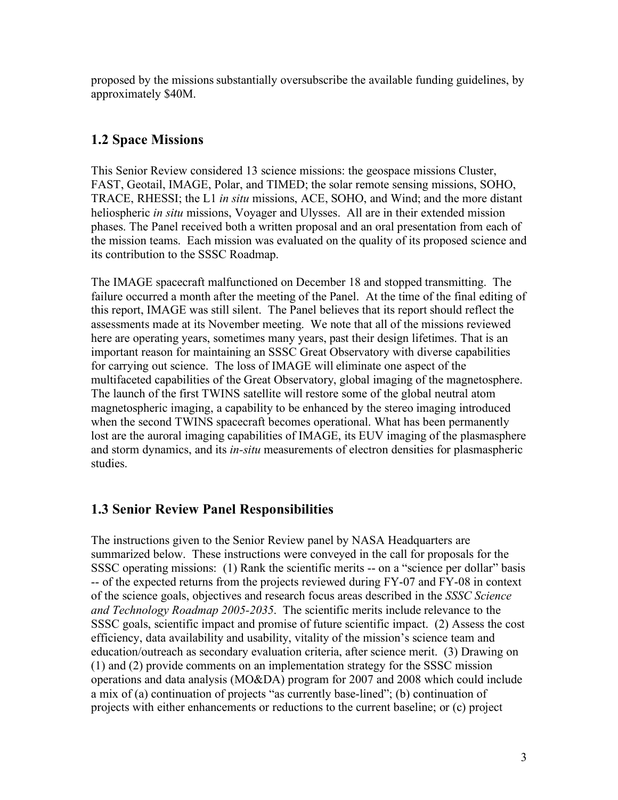proposed by the missions substantially oversubscribe the available funding guidelines, by approximately \$40M.

#### **1.2 Space Missions**

This Senior Review considered 13 science missions: the geospace missions Cluster, FAST, Geotail, IMAGE, Polar, and TIMED; the solar remote sensing missions, SOHO, TRACE, RHESSI; the L1 *in situ* missions, ACE, SOHO, and Wind; and the more distant heliospheric *in situ* missions, Voyager and Ulysses. All are in their extended mission phases. The Panel received both a written proposal and an oral presentation from each of the mission teams. Each mission was evaluated on the quality of its proposed science and its contribution to the SSSC Roadmap.

The IMAGE spacecraft malfunctioned on December 18 and stopped transmitting. The failure occurred a month after the meeting of the Panel. At the time of the final editing of this report, IMAGE was still silent. The Panel believes that its report should reflect the assessments made at its November meeting. We note that all of the missions reviewed here are operating years, sometimes many years, past their design lifetimes. That is an important reason for maintaining an SSSC Great Observatory with diverse capabilities for carrying out science. The loss of IMAGE will eliminate one aspect of the multifaceted capabilities of the Great Observatory, global imaging of the magnetosphere. The launch of the first TWINS satellite will restore some of the global neutral atom magnetospheric imaging, a capability to be enhanced by the stereo imaging introduced when the second TWINS spacecraft becomes operational. What has been permanently lost are the auroral imaging capabilities of IMAGE, its EUV imaging of the plasmasphere and storm dynamics, and its *in-situ* measurements of electron densities for plasmaspheric studies.

### **1.3 Senior Review Panel Responsibilities**

The instructions given to the Senior Review panel by NASA Headquarters are summarized below. These instructions were conveyed in the call for proposals for the SSSC operating missions: (1) Rank the scientific merits -- on a "science per dollar" basis -- of the expected returns from the projects reviewed during FY-07 and FY-08 in context of the science goals, objectives and research focus areas described in the *SSSC Science and Technology Roadmap 2005-2035*. The scientific merits include relevance to the SSSC goals, scientific impact and promise of future scientific impact. (2) Assess the cost efficiency, data availability and usability, vitality of the mission's science team and education/outreach as secondary evaluation criteria, after science merit. (3) Drawing on (1) and (2) provide comments on an implementation strategy for the SSSC mission operations and data analysis (MO&DA) program for 2007 and 2008 which could include a mix of (a) continuation of projects "as currently base-lined"; (b) continuation of projects with either enhancements or reductions to the current baseline; or (c) project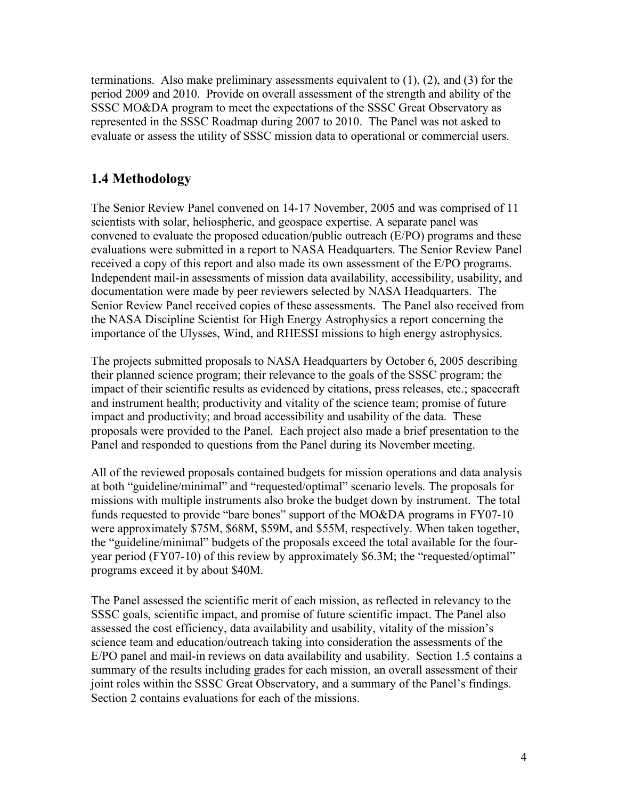terminations. Also make preliminary assessments equivalent to (1), (2), and (3) for the period 2009 and 2010. Provide on overall assessment of the strength and ability of the SSSC MO&DA program to meet the expectations of the SSSC Great Observatory as represented in the SSSC Roadmap during 2007 to 2010. The Panel was not asked to evaluate or assess the utility of SSSC mission data to operational or commercial users.

### **1.4 Methodology**

The Senior Review Panel convened on 14-17 November, 2005 and was comprised of 11 scientists with solar, heliospheric, and geospace expertise. A separate panel was convened to evaluate the proposed education/public outreach (E/PO) programs and these evaluations were submitted in a report to NASA Headquarters. The Senior Review Panel received a copy of this report and also made its own assessment of the E/PO programs. Independent mail-in assessments of mission data availability, accessibility, usability, and documentation were made by peer reviewers selected by NASA Headquarters. The Senior Review Panel received copies of these assessments. The Panel also received from the NASA Discipline Scientist for High Energy Astrophysics a report concerning the importance of the Ulysses, Wind, and RHESSI missions to high energy astrophysics.

The projects submitted proposals to NASA Headquarters by October 6, 2005 describing their planned science program; their relevance to the goals of the SSSC program; the impact of their scientific results as evidenced by citations, press releases, etc.; spacecraft and instrument health; productivity and vitality of the science team; promise of future impact and productivity; and broad accessibility and usability of the data. These proposals were provided to the Panel. Each project also made a brief presentation to the Panel and responded to questions from the Panel during its November meeting.

All of the reviewed proposals contained budgets for mission operations and data analysis at both "guideline/minimal" and "requested/optimal" scenario levels. The proposals for missions with multiple instruments also broke the budget down by instrument. The total funds requested to provide "bare bones" support of the MO&DA programs in FY07-10 were approximately \$75M, \$68M, \$59M, and \$55M, respectively. When taken together, the "guideline/minimal" budgets of the proposals exceed the total available for the fouryear period (FY07-10) of this review by approximately \$6.3M; the "requested/optimal" programs exceed it by about \$40M.

The Panel assessed the scientific merit of each mission, as reflected in relevancy to the SSSC goals, scientific impact, and promise of future scientific impact. The Panel also assessed the cost efficiency, data availability and usability, vitality of the mission's science team and education/outreach taking into consideration the assessments of the E/PO panel and mail-in reviews on data availability and usability. Section 1.5 contains a summary of the results including grades for each mission, an overall assessment of their joint roles within the SSSC Great Observatory, and a summary of the Panel's findings. Section 2 contains evaluations for each of the missions.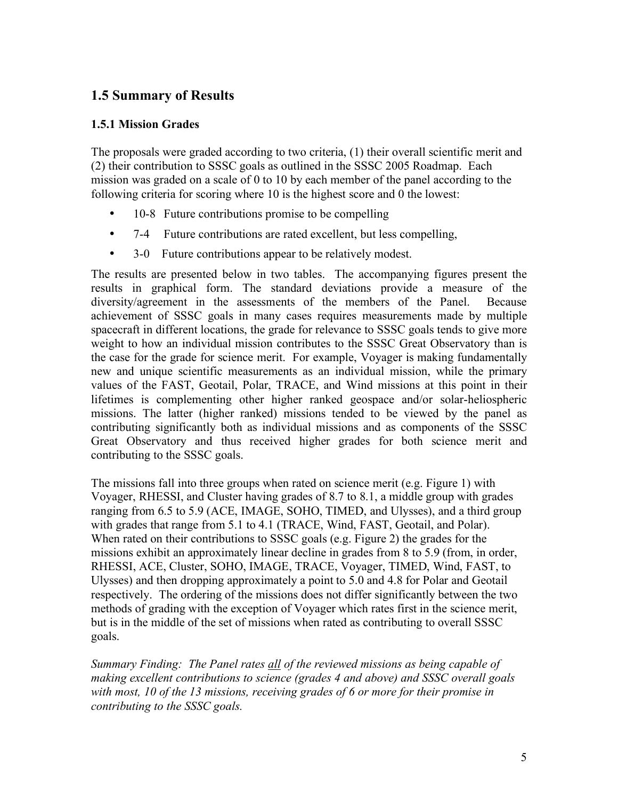# **1.5 Summary of Results**

#### **1.5.1 Mission Grades**

The proposals were graded according to two criteria, (1) their overall scientific merit and (2) their contribution to SSSC goals as outlined in the SSSC 2005 Roadmap. Each mission was graded on a scale of 0 to 10 by each member of the panel according to the following criteria for scoring where 10 is the highest score and 0 the lowest:

- 10-8 Future contributions promise to be compelling
- 7-4 Future contributions are rated excellent, but less compelling,
- 3-0 Future contributions appear to be relatively modest.

The results are presented below in two tables. The accompanying figures present the results in graphical form. The standard deviations provide a measure of the diversity/agreement in the assessments of the members of the Panel. Because achievement of SSSC goals in many cases requires measurements made by multiple spacecraft in different locations, the grade for relevance to SSSC goals tends to give more weight to how an individual mission contributes to the SSSC Great Observatory than is the case for the grade for science merit. For example, Voyager is making fundamentally new and unique scientific measurements as an individual mission, while the primary values of the FAST, Geotail, Polar, TRACE, and Wind missions at this point in their lifetimes is complementing other higher ranked geospace and/or solar-heliospheric missions. The latter (higher ranked) missions tended to be viewed by the panel as contributing significantly both as individual missions and as components of the SSSC Great Observatory and thus received higher grades for both science merit and contributing to the SSSC goals.

The missions fall into three groups when rated on science merit (e.g. Figure 1) with Voyager, RHESSI, and Cluster having grades of 8.7 to 8.1, a middle group with grades ranging from 6.5 to 5.9 (ACE, IMAGE, SOHO, TIMED, and Ulysses), and a third group with grades that range from 5.1 to 4.1 (TRACE, Wind, FAST, Geotail, and Polar). When rated on their contributions to SSSC goals (e.g. Figure 2) the grades for the missions exhibit an approximately linear decline in grades from 8 to 5.9 (from, in order, RHESSI, ACE, Cluster, SOHO, IMAGE, TRACE, Voyager, TIMED, Wind, FAST, to Ulysses) and then dropping approximately a point to 5.0 and 4.8 for Polar and Geotail respectively. The ordering of the missions does not differ significantly between the two methods of grading with the exception of Voyager which rates first in the science merit, but is in the middle of the set of missions when rated as contributing to overall SSSC goals.

*Summary Finding: The Panel rates all of the reviewed missions as being capable of making excellent contributions to science (grades 4 and above) and SSSC overall goals with most, 10 of the 13 missions, receiving grades of 6 or more for their promise in contributing to the SSSC goals.*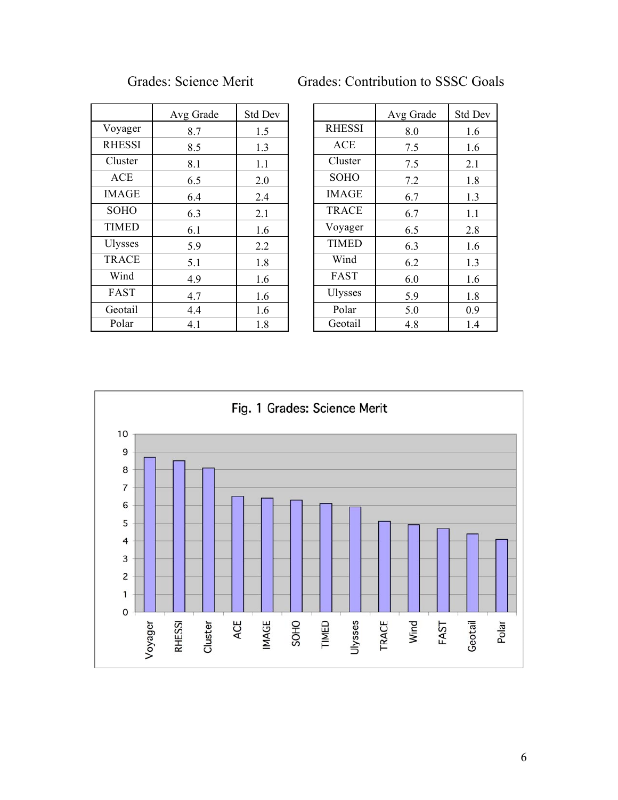Grades: Contribution to SSSC Goals

|                | Avg Grade | <b>Std Dev</b> |
|----------------|-----------|----------------|
| Voyager        | 8.7       | 1.5            |
| <b>RHESSI</b>  | 8.5       | 1.3            |
| Cluster        | 8.1       | 1.1            |
| <b>ACE</b>     | 6.5       | 2.0            |
| <b>IMAGE</b>   | 6.4       | 2.4            |
| SOHO           | 6.3       | 2.1            |
| <b>TIMED</b>   | 6.1       | 1.6            |
| <b>Ulysses</b> | 5.9       | 2.2            |
| <b>TRACE</b>   | 5.1       | 1.8            |
| Wind           | 4.9       | 1.6            |
| <b>FAST</b>    | 4.7       | 1.6            |
| Geotail        | 4.4       | 1.6            |
| Polar          | 4.1       | 1.8            |

|                | Avg Grade | <b>Std Dev</b> |
|----------------|-----------|----------------|
| <b>RHESSI</b>  | 8.0       | 1.6            |
| <b>ACE</b>     | 7.5       | 1.6            |
| Cluster        | 7.5       | 2.1            |
| <b>SOHO</b>    | 7.2       | 1.8            |
| <b>IMAGE</b>   | 6.7       | 1.3            |
| <b>TRACE</b>   | 6.7       | 1.1            |
| Voyager        | 6.5       | 2.8            |
| <b>TIMED</b>   | 6.3       | 1.6            |
| Wind           | 6.2       | 1.3            |
| <b>FAST</b>    | 6.0       | 1.6            |
| <b>Ulysses</b> | 5.9       | 1.8            |
| Polar          | 5.0       | 0.9            |
| Geotail        | 4.8       | 1.4            |

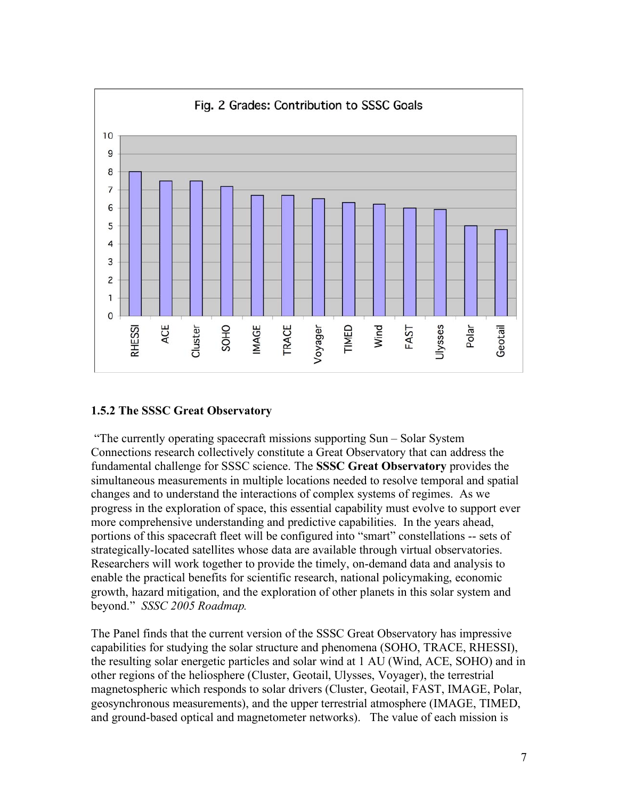

#### **1.5.2 The SSSC Great Observatory**

"The currently operating spacecraft missions supporting Sun – Solar System Connections research collectively constitute a Great Observatory that can address the fundamental challenge for SSSC science. The **SSSC Great Observatory** provides the simultaneous measurements in multiple locations needed to resolve temporal and spatial changes and to understand the interactions of complex systems of regimes. As we progress in the exploration of space, this essential capability must evolve to support ever more comprehensive understanding and predictive capabilities. In the years ahead, portions of this spacecraft fleet will be configured into "smart" constellations -- sets of strategically-located satellites whose data are available through virtual observatories. Researchers will work together to provide the timely, on-demand data and analysis to enable the practical benefits for scientific research, national policymaking, economic growth, hazard mitigation, and the exploration of other planets in this solar system and beyond." *SSSC 2005 Roadmap.* 

The Panel finds that the current version of the SSSC Great Observatory has impressive capabilities for studying the solar structure and phenomena (SOHO, TRACE, RHESSI), the resulting solar energetic particles and solar wind at 1 AU (Wind, ACE, SOHO) and in other regions of the heliosphere (Cluster, Geotail, Ulysses, Voyager), the terrestrial magnetospheric which responds to solar drivers (Cluster, Geotail, FAST, IMAGE, Polar, geosynchronous measurements), and the upper terrestrial atmosphere (IMAGE, TIMED, and ground-based optical and magnetometer networks). The value of each mission is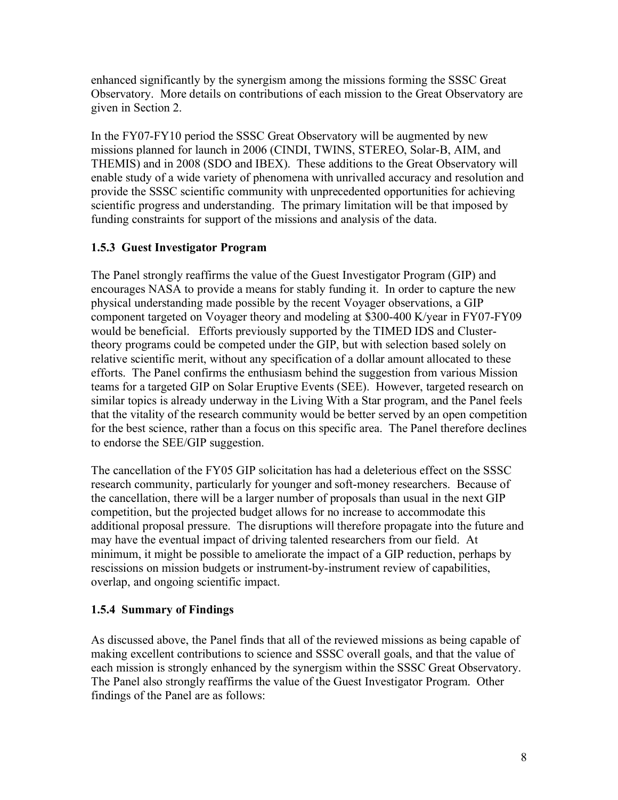enhanced significantly by the synergism among the missions forming the SSSC Great Observatory. More details on contributions of each mission to the Great Observatory are given in Section 2.

In the FY07-FY10 period the SSSC Great Observatory will be augmented by new missions planned for launch in 2006 (CINDI, TWINS, STEREO, Solar-B, AIM, and THEMIS) and in 2008 (SDO and IBEX). These additions to the Great Observatory will enable study of a wide variety of phenomena with unrivalled accuracy and resolution and provide the SSSC scientific community with unprecedented opportunities for achieving scientific progress and understanding. The primary limitation will be that imposed by funding constraints for support of the missions and analysis of the data.

#### **1.5.3 Guest Investigator Program**

The Panel strongly reaffirms the value of the Guest Investigator Program (GIP) and encourages NASA to provide a means for stably funding it. In order to capture the new physical understanding made possible by the recent Voyager observations, a GIP component targeted on Voyager theory and modeling at \$300-400 K/year in FY07-FY09 would be beneficial. Efforts previously supported by the TIMED IDS and Clustertheory programs could be competed under the GIP, but with selection based solely on relative scientific merit, without any specification of a dollar amount allocated to these efforts. The Panel confirms the enthusiasm behind the suggestion from various Mission teams for a targeted GIP on Solar Eruptive Events (SEE). However, targeted research on similar topics is already underway in the Living With a Star program, and the Panel feels that the vitality of the research community would be better served by an open competition for the best science, rather than a focus on this specific area. The Panel therefore declines to endorse the SEE/GIP suggestion.

The cancellation of the FY05 GIP solicitation has had a deleterious effect on the SSSC research community, particularly for younger and soft-money researchers. Because of the cancellation, there will be a larger number of proposals than usual in the next GIP competition, but the projected budget allows for no increase to accommodate this additional proposal pressure. The disruptions will therefore propagate into the future and may have the eventual impact of driving talented researchers from our field. At minimum, it might be possible to ameliorate the impact of a GIP reduction, perhaps by rescissions on mission budgets or instrument-by-instrument review of capabilities, overlap, and ongoing scientific impact.

#### **1.5.4 Summary of Findings**

As discussed above, the Panel finds that all of the reviewed missions as being capable of making excellent contributions to science and SSSC overall goals, and that the value of each mission is strongly enhanced by the synergism within the SSSC Great Observatory. The Panel also strongly reaffirms the value of the Guest Investigator Program. Other findings of the Panel are as follows: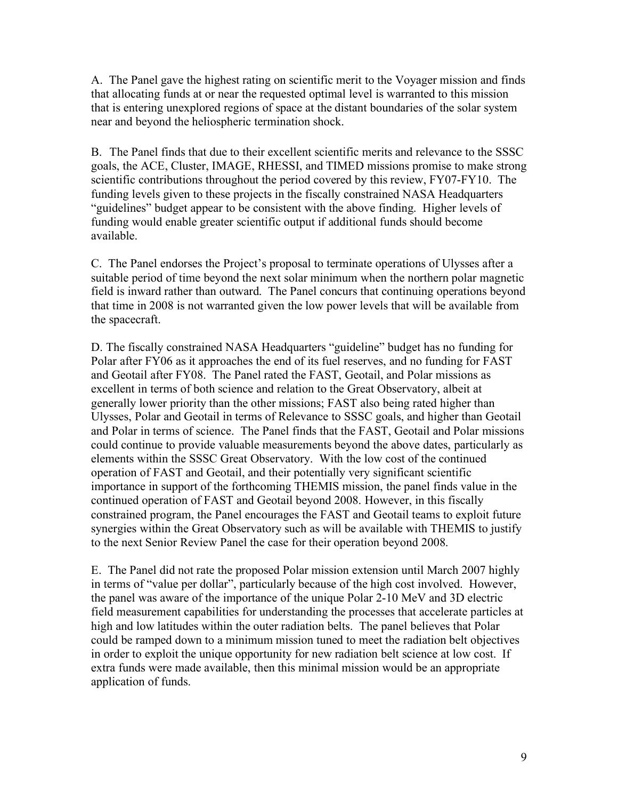A. The Panel gave the highest rating on scientific merit to the Voyager mission and finds that allocating funds at or near the requested optimal level is warranted to this mission that is entering unexplored regions of space at the distant boundaries of the solar system near and beyond the heliospheric termination shock.

B. The Panel finds that due to their excellent scientific merits and relevance to the SSSC goals, the ACE, Cluster, IMAGE, RHESSI, and TIMED missions promise to make strong scientific contributions throughout the period covered by this review, FY07-FY10. The funding levels given to these projects in the fiscally constrained NASA Headquarters "guidelines" budget appear to be consistent with the above finding. Higher levels of funding would enable greater scientific output if additional funds should become available.

C. The Panel endorses the Project's proposal to terminate operations of Ulysses after a suitable period of time beyond the next solar minimum when the northern polar magnetic field is inward rather than outward. The Panel concurs that continuing operations beyond that time in 2008 is not warranted given the low power levels that will be available from the spacecraft.

D. The fiscally constrained NASA Headquarters "guideline" budget has no funding for Polar after FY06 as it approaches the end of its fuel reserves, and no funding for FAST and Geotail after FY08. The Panel rated the FAST, Geotail, and Polar missions as excellent in terms of both science and relation to the Great Observatory, albeit at generally lower priority than the other missions; FAST also being rated higher than Ulysses, Polar and Geotail in terms of Relevance to SSSC goals, and higher than Geotail and Polar in terms of science. The Panel finds that the FAST, Geotail and Polar missions could continue to provide valuable measurements beyond the above dates, particularly as elements within the SSSC Great Observatory. With the low cost of the continued operation of FAST and Geotail, and their potentially very significant scientific importance in support of the forthcoming THEMIS mission, the panel finds value in the continued operation of FAST and Geotail beyond 2008. However, in this fiscally constrained program, the Panel encourages the FAST and Geotail teams to exploit future synergies within the Great Observatory such as will be available with THEMIS to justify to the next Senior Review Panel the case for their operation beyond 2008.

E. The Panel did not rate the proposed Polar mission extension until March 2007 highly in terms of "value per dollar", particularly because of the high cost involved. However, the panel was aware of the importance of the unique Polar 2-10 MeV and 3D electric field measurement capabilities for understanding the processes that accelerate particles at high and low latitudes within the outer radiation belts. The panel believes that Polar could be ramped down to a minimum mission tuned to meet the radiation belt objectives in order to exploit the unique opportunity for new radiation belt science at low cost. If extra funds were made available, then this minimal mission would be an appropriate application of funds.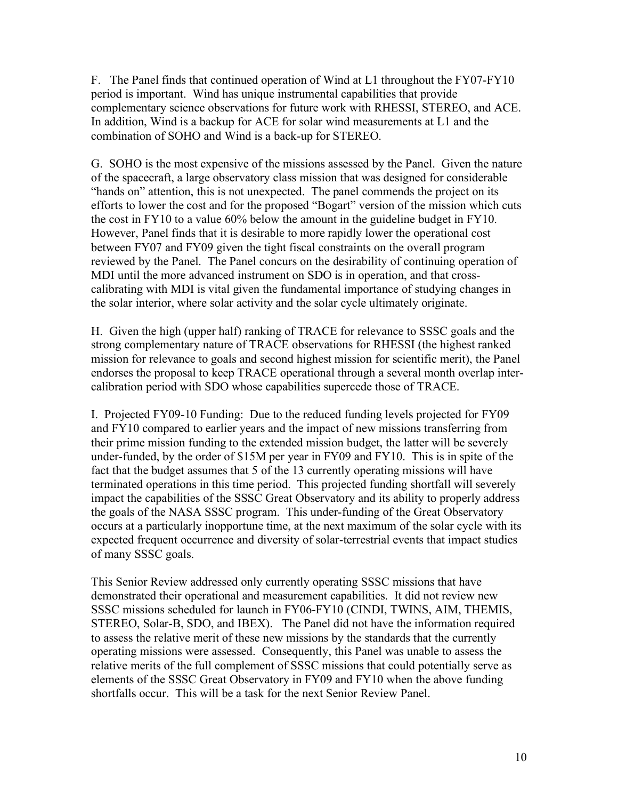F. The Panel finds that continued operation of Wind at L1 throughout the FY07-FY10 period is important. Wind has unique instrumental capabilities that provide complementary science observations for future work with RHESSI, STEREO, and ACE. In addition, Wind is a backup for ACE for solar wind measurements at L1 and the combination of SOHO and Wind is a back-up for STEREO.

G. SOHO is the most expensive of the missions assessed by the Panel. Given the nature of the spacecraft, a large observatory class mission that was designed for considerable "hands on" attention, this is not unexpected. The panel commends the project on its efforts to lower the cost and for the proposed "Bogart" version of the mission which cuts the cost in FY10 to a value 60% below the amount in the guideline budget in FY10. However, Panel finds that it is desirable to more rapidly lower the operational cost between FY07 and FY09 given the tight fiscal constraints on the overall program reviewed by the Panel. The Panel concurs on the desirability of continuing operation of MDI until the more advanced instrument on SDO is in operation, and that crosscalibrating with MDI is vital given the fundamental importance of studying changes in the solar interior, where solar activity and the solar cycle ultimately originate.

H. Given the high (upper half) ranking of TRACE for relevance to SSSC goals and the strong complementary nature of TRACE observations for RHESSI (the highest ranked mission for relevance to goals and second highest mission for scientific merit), the Panel endorses the proposal to keep TRACE operational through a several month overlap intercalibration period with SDO whose capabilities supercede those of TRACE.

I. Projected FY09-10 Funding: Due to the reduced funding levels projected for FY09 and FY10 compared to earlier years and the impact of new missions transferring from their prime mission funding to the extended mission budget, the latter will be severely under-funded, by the order of \$15M per year in FY09 and FY10. This is in spite of the fact that the budget assumes that 5 of the 13 currently operating missions will have terminated operations in this time period. This projected funding shortfall will severely impact the capabilities of the SSSC Great Observatory and its ability to properly address the goals of the NASA SSSC program. This under-funding of the Great Observatory occurs at a particularly inopportune time, at the next maximum of the solar cycle with its expected frequent occurrence and diversity of solar-terrestrial events that impact studies of many SSSC goals.

This Senior Review addressed only currently operating SSSC missions that have demonstrated their operational and measurement capabilities. It did not review new SSSC missions scheduled for launch in FY06-FY10 (CINDI, TWINS, AIM, THEMIS, STEREO, Solar-B, SDO, and IBEX). The Panel did not have the information required to assess the relative merit of these new missions by the standards that the currently operating missions were assessed. Consequently, this Panel was unable to assess the relative merits of the full complement of SSSC missions that could potentially serve as elements of the SSSC Great Observatory in FY09 and FY10 when the above funding shortfalls occur. This will be a task for the next Senior Review Panel.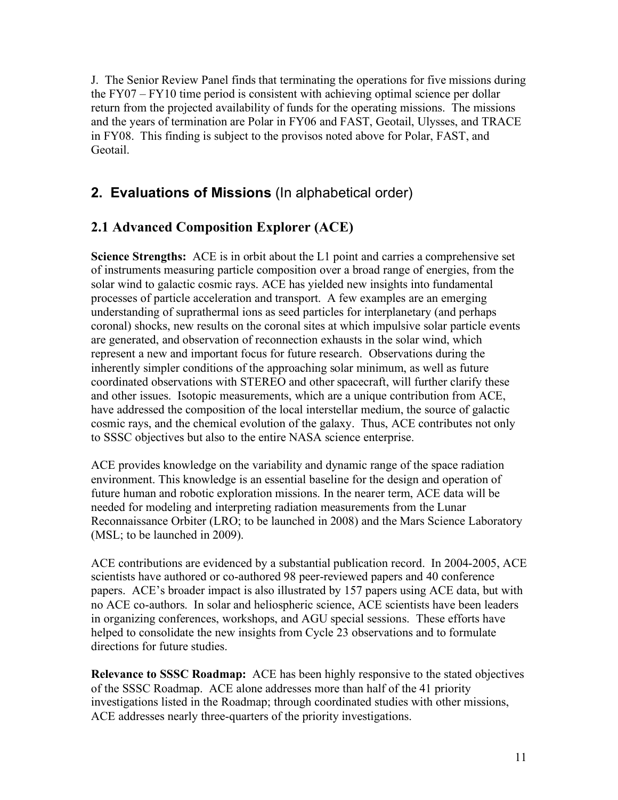J. The Senior Review Panel finds that terminating the operations for five missions during the FY07 – FY10 time period is consistent with achieving optimal science per dollar return from the projected availability of funds for the operating missions. The missions and the years of termination are Polar in FY06 and FAST, Geotail, Ulysses, and TRACE in FY08. This finding is subject to the provisos noted above for Polar, FAST, and Geotail.

# **2. Evaluations of Missions** (In alphabetical order)

# **2.1 Advanced Composition Explorer (ACE)**

**Science Strengths:** ACE is in orbit about the L1 point and carries a comprehensive set of instruments measuring particle composition over a broad range of energies, from the solar wind to galactic cosmic rays. ACE has yielded new insights into fundamental processes of particle acceleration and transport. A few examples are an emerging understanding of suprathermal ions as seed particles for interplanetary (and perhaps coronal) shocks, new results on the coronal sites at which impulsive solar particle events are generated, and observation of reconnection exhausts in the solar wind, which represent a new and important focus for future research. Observations during the inherently simpler conditions of the approaching solar minimum, as well as future coordinated observations with STEREO and other spacecraft, will further clarify these and other issues. Isotopic measurements, which are a unique contribution from ACE, have addressed the composition of the local interstellar medium, the source of galactic cosmic rays, and the chemical evolution of the galaxy. Thus, ACE contributes not only to SSSC objectives but also to the entire NASA science enterprise.

ACE provides knowledge on the variability and dynamic range of the space radiation environment. This knowledge is an essential baseline for the design and operation of future human and robotic exploration missions. In the nearer term, ACE data will be needed for modeling and interpreting radiation measurements from the Lunar Reconnaissance Orbiter (LRO; to be launched in 2008) and the Mars Science Laboratory (MSL; to be launched in 2009).

ACE contributions are evidenced by a substantial publication record. In 2004-2005, ACE scientists have authored or co-authored 98 peer-reviewed papers and 40 conference papers. ACE's broader impact is also illustrated by 157 papers using ACE data, but with no ACE co-authors. In solar and heliospheric science, ACE scientists have been leaders in organizing conferences, workshops, and AGU special sessions. These efforts have helped to consolidate the new insights from Cycle 23 observations and to formulate directions for future studies.

**Relevance to SSSC Roadmap:** ACE has been highly responsive to the stated objectives of the SSSC Roadmap. ACE alone addresses more than half of the 41 priority investigations listed in the Roadmap; through coordinated studies with other missions, ACE addresses nearly three-quarters of the priority investigations.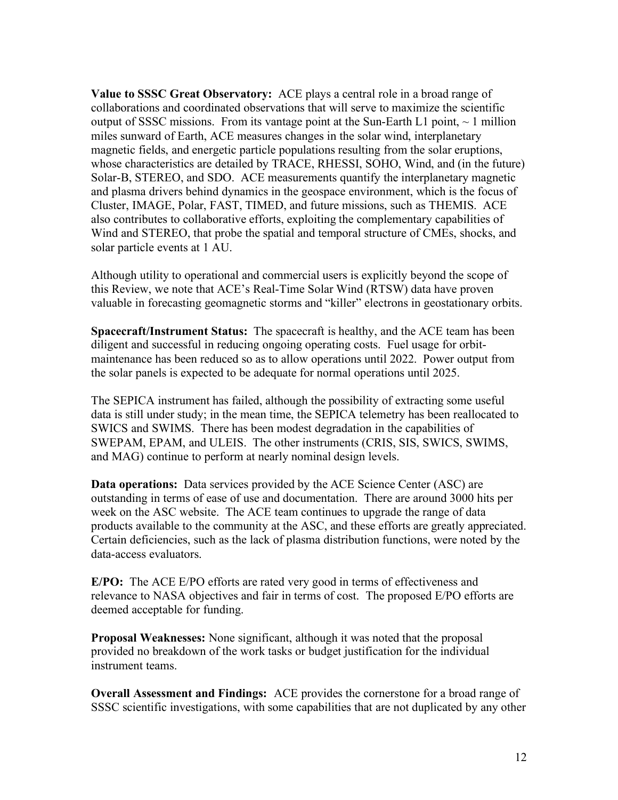**Value to SSSC Great Observatory:** ACE plays a central role in a broad range of collaborations and coordinated observations that will serve to maximize the scientific output of SSSC missions. From its vantage point at the Sun-Earth L1 point,  $\sim$  1 million miles sunward of Earth, ACE measures changes in the solar wind, interplanetary magnetic fields, and energetic particle populations resulting from the solar eruptions, whose characteristics are detailed by TRACE, RHESSI, SOHO, Wind, and (in the future) Solar-B, STEREO, and SDO. ACE measurements quantify the interplanetary magnetic and plasma drivers behind dynamics in the geospace environment, which is the focus of Cluster, IMAGE, Polar, FAST, TIMED, and future missions, such as THEMIS. ACE also contributes to collaborative efforts, exploiting the complementary capabilities of Wind and STEREO, that probe the spatial and temporal structure of CMEs, shocks, and solar particle events at 1 AU.

Although utility to operational and commercial users is explicitly beyond the scope of this Review, we note that ACE's Real-Time Solar Wind (RTSW) data have proven valuable in forecasting geomagnetic storms and "killer" electrons in geostationary orbits.

**Spacecraft/Instrument Status:** The spacecraft is healthy, and the ACE team has been diligent and successful in reducing ongoing operating costs. Fuel usage for orbitmaintenance has been reduced so as to allow operations until 2022. Power output from the solar panels is expected to be adequate for normal operations until 2025.

The SEPICA instrument has failed, although the possibility of extracting some useful data is still under study; in the mean time, the SEPICA telemetry has been reallocated to SWICS and SWIMS. There has been modest degradation in the capabilities of SWEPAM, EPAM, and ULEIS. The other instruments (CRIS, SIS, SWICS, SWIMS, and MAG) continue to perform at nearly nominal design levels.

**Data operations:** Data services provided by the ACE Science Center (ASC) are outstanding in terms of ease of use and documentation. There are around 3000 hits per week on the ASC website. The ACE team continues to upgrade the range of data products available to the community at the ASC, and these efforts are greatly appreciated. Certain deficiencies, such as the lack of plasma distribution functions, were noted by the data-access evaluators.

**E/PO:** The ACE E/PO efforts are rated very good in terms of effectiveness and relevance to NASA objectives and fair in terms of cost. The proposed E/PO efforts are deemed acceptable for funding.

**Proposal Weaknesses:** None significant, although it was noted that the proposal provided no breakdown of the work tasks or budget justification for the individual instrument teams.

**Overall Assessment and Findings:** ACE provides the cornerstone for a broad range of SSSC scientific investigations, with some capabilities that are not duplicated by any other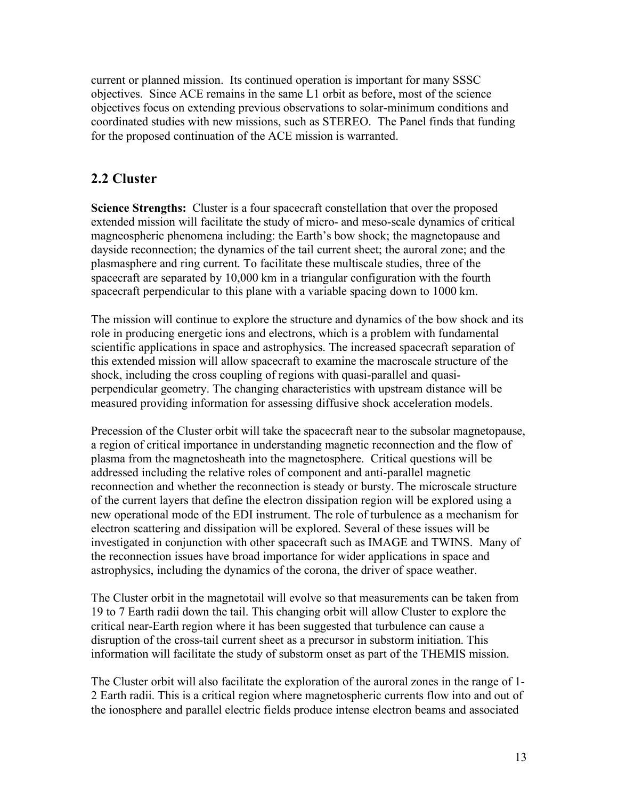current or planned mission. Its continued operation is important for many SSSC objectives. Since ACE remains in the same L1 orbit as before, most of the science objectives focus on extending previous observations to solar-minimum conditions and coordinated studies with new missions, such as STEREO. The Panel finds that funding for the proposed continuation of the ACE mission is warranted.

### **2.2 Cluster**

**Science Strengths:** Cluster is a four spacecraft constellation that over the proposed extended mission will facilitate the study of micro- and meso-scale dynamics of critical magneospheric phenomena including: the Earth's bow shock; the magnetopause and dayside reconnection; the dynamics of the tail current sheet; the auroral zone; and the plasmasphere and ring current. To facilitate these multiscale studies, three of the spacecraft are separated by 10,000 km in a triangular configuration with the fourth spacecraft perpendicular to this plane with a variable spacing down to 1000 km.

The mission will continue to explore the structure and dynamics of the bow shock and its role in producing energetic ions and electrons, which is a problem with fundamental scientific applications in space and astrophysics. The increased spacecraft separation of this extended mission will allow spacecraft to examine the macroscale structure of the shock, including the cross coupling of regions with quasi-parallel and quasiperpendicular geometry. The changing characteristics with upstream distance will be measured providing information for assessing diffusive shock acceleration models.

Precession of the Cluster orbit will take the spacecraft near to the subsolar magnetopause, a region of critical importance in understanding magnetic reconnection and the flow of plasma from the magnetosheath into the magnetosphere. Critical questions will be addressed including the relative roles of component and anti-parallel magnetic reconnection and whether the reconnection is steady or bursty. The microscale structure of the current layers that define the electron dissipation region will be explored using a new operational mode of the EDI instrument. The role of turbulence as a mechanism for electron scattering and dissipation will be explored. Several of these issues will be investigated in conjunction with other spacecraft such as IMAGE and TWINS. Many of the reconnection issues have broad importance for wider applications in space and astrophysics, including the dynamics of the corona, the driver of space weather.

The Cluster orbit in the magnetotail will evolve so that measurements can be taken from 19 to 7 Earth radii down the tail. This changing orbit will allow Cluster to explore the critical near-Earth region where it has been suggested that turbulence can cause a disruption of the cross-tail current sheet as a precursor in substorm initiation. This information will facilitate the study of substorm onset as part of the THEMIS mission.

The Cluster orbit will also facilitate the exploration of the auroral zones in the range of 1- 2 Earth radii. This is a critical region where magnetospheric currents flow into and out of the ionosphere and parallel electric fields produce intense electron beams and associated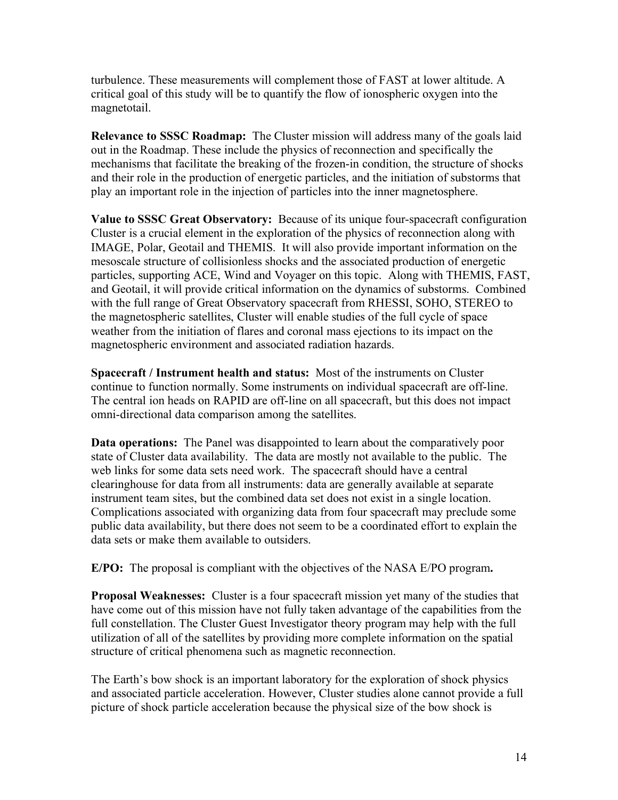turbulence. These measurements will complement those of FAST at lower altitude. A critical goal of this study will be to quantify the flow of ionospheric oxygen into the magnetotail.

**Relevance to SSSC Roadmap:** The Cluster mission will address many of the goals laid out in the Roadmap. These include the physics of reconnection and specifically the mechanisms that facilitate the breaking of the frozen-in condition, the structure of shocks and their role in the production of energetic particles, and the initiation of substorms that play an important role in the injection of particles into the inner magnetosphere.

**Value to SSSC Great Observatory:** Because of its unique four-spacecraft configuration Cluster is a crucial element in the exploration of the physics of reconnection along with IMAGE, Polar, Geotail and THEMIS. It will also provide important information on the mesoscale structure of collisionless shocks and the associated production of energetic particles, supporting ACE, Wind and Voyager on this topic. Along with THEMIS, FAST, and Geotail, it will provide critical information on the dynamics of substorms. Combined with the full range of Great Observatory spacecraft from RHESSI, SOHO, STEREO to the magnetospheric satellites, Cluster will enable studies of the full cycle of space weather from the initiation of flares and coronal mass ejections to its impact on the magnetospheric environment and associated radiation hazards.

**Spacecraft / Instrument health and status:** Most of the instruments on Cluster continue to function normally. Some instruments on individual spacecraft are off-line. The central ion heads on RAPID are off-line on all spacecraft, but this does not impact omni-directional data comparison among the satellites.

**Data operations:** The Panel was disappointed to learn about the comparatively poor state of Cluster data availability. The data are mostly not available to the public. The web links for some data sets need work. The spacecraft should have a central clearinghouse for data from all instruments: data are generally available at separate instrument team sites, but the combined data set does not exist in a single location. Complications associated with organizing data from four spacecraft may preclude some public data availability, but there does not seem to be a coordinated effort to explain the data sets or make them available to outsiders.

**E/PO:** The proposal is compliant with the objectives of the NASA E/PO program**.** 

**Proposal Weaknesses:** Cluster is a four spacecraft mission yet many of the studies that have come out of this mission have not fully taken advantage of the capabilities from the full constellation. The Cluster Guest Investigator theory program may help with the full utilization of all of the satellites by providing more complete information on the spatial structure of critical phenomena such as magnetic reconnection.

The Earth's bow shock is an important laboratory for the exploration of shock physics and associated particle acceleration. However, Cluster studies alone cannot provide a full picture of shock particle acceleration because the physical size of the bow shock is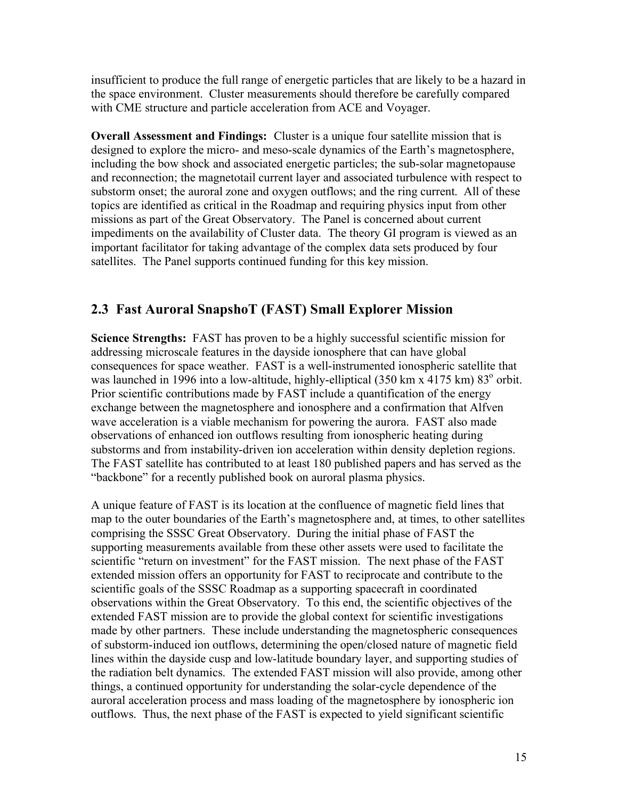insufficient to produce the full range of energetic particles that are likely to be a hazard in the space environment. Cluster measurements should therefore be carefully compared with CME structure and particle acceleration from ACE and Voyager.

**Overall Assessment and Findings:** Cluster is a unique four satellite mission that is designed to explore the micro- and meso-scale dynamics of the Earth's magnetosphere, including the bow shock and associated energetic particles; the sub-solar magnetopause and reconnection; the magnetotail current layer and associated turbulence with respect to substorm onset; the auroral zone and oxygen outflows; and the ring current. All of these topics are identified as critical in the Roadmap and requiring physics input from other missions as part of the Great Observatory. The Panel is concerned about current impediments on the availability of Cluster data. The theory GI program is viewed as an important facilitator for taking advantage of the complex data sets produced by four satellites. The Panel supports continued funding for this key mission.

### **2.3 Fast Auroral SnapshoT (FAST) Small Explorer Mission**

**Science Strengths:** FAST has proven to be a highly successful scientific mission for addressing microscale features in the dayside ionosphere that can have global consequences for space weather. FAST is a well-instrumented ionospheric satellite that was launched in 1996 into a low-altitude, highly-elliptical  $(350 \text{ km} \times 4175 \text{ km})$   $83^\circ$  orbit. Prior scientific contributions made by FAST include a quantification of the energy exchange between the magnetosphere and ionosphere and a confirmation that Alfven wave acceleration is a viable mechanism for powering the aurora. FAST also made observations of enhanced ion outflows resulting from ionospheric heating during substorms and from instability-driven ion acceleration within density depletion regions. The FAST satellite has contributed to at least 180 published papers and has served as the "backbone" for a recently published book on auroral plasma physics.

A unique feature of FAST is its location at the confluence of magnetic field lines that map to the outer boundaries of the Earth's magnetosphere and, at times, to other satellites comprising the SSSC Great Observatory. During the initial phase of FAST the supporting measurements available from these other assets were used to facilitate the scientific "return on investment" for the FAST mission. The next phase of the FAST extended mission offers an opportunity for FAST to reciprocate and contribute to the scientific goals of the SSSC Roadmap as a supporting spacecraft in coordinated observations within the Great Observatory. To this end, the scientific objectives of the extended FAST mission are to provide the global context for scientific investigations made by other partners. These include understanding the magnetospheric consequences of substorm-induced ion outflows, determining the open/closed nature of magnetic field lines within the dayside cusp and low-latitude boundary layer, and supporting studies of the radiation belt dynamics. The extended FAST mission will also provide, among other things, a continued opportunity for understanding the solar-cycle dependence of the auroral acceleration process and mass loading of the magnetosphere by ionospheric ion outflows. Thus, the next phase of the FAST is expected to yield significant scientific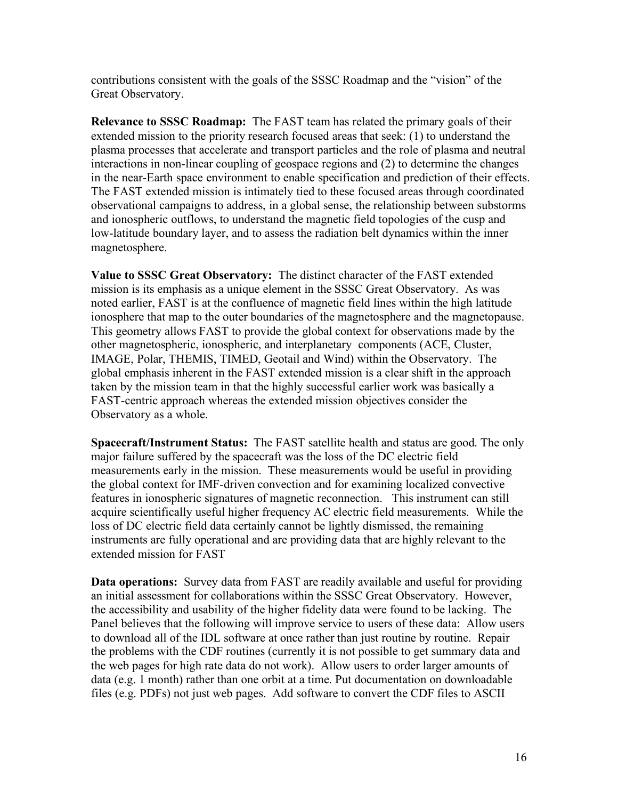contributions consistent with the goals of the SSSC Roadmap and the "vision" of the Great Observatory.

**Relevance to SSSC Roadmap:** The FAST team has related the primary goals of their extended mission to the priority research focused areas that seek: (1) to understand the plasma processes that accelerate and transport particles and the role of plasma and neutral interactions in non-linear coupling of geospace regions and (2) to determine the changes in the near-Earth space environment to enable specification and prediction of their effects. The FAST extended mission is intimately tied to these focused areas through coordinated observational campaigns to address, in a global sense, the relationship between substorms and ionospheric outflows, to understand the magnetic field topologies of the cusp and low-latitude boundary layer, and to assess the radiation belt dynamics within the inner magnetosphere.

**Value to SSSC Great Observatory:** The distinct character of the FAST extended mission is its emphasis as a unique element in the SSSC Great Observatory. As was noted earlier, FAST is at the confluence of magnetic field lines within the high latitude ionosphere that map to the outer boundaries of the magnetosphere and the magnetopause. This geometry allows FAST to provide the global context for observations made by the other magnetospheric, ionospheric, and interplanetary components (ACE, Cluster, IMAGE, Polar, THEMIS, TIMED, Geotail and Wind) within the Observatory. The global emphasis inherent in the FAST extended mission is a clear shift in the approach taken by the mission team in that the highly successful earlier work was basically a FAST-centric approach whereas the extended mission objectives consider the Observatory as a whole.

**Spacecraft/Instrument Status:** The FAST satellite health and status are good. The only major failure suffered by the spacecraft was the loss of the DC electric field measurements early in the mission. These measurements would be useful in providing the global context for IMF-driven convection and for examining localized convective features in ionospheric signatures of magnetic reconnection. This instrument can still acquire scientifically useful higher frequency AC electric field measurements. While the loss of DC electric field data certainly cannot be lightly dismissed, the remaining instruments are fully operational and are providing data that are highly relevant to the extended mission for FAST

**Data operations:** Survey data from FAST are readily available and useful for providing an initial assessment for collaborations within the SSSC Great Observatory. However, the accessibility and usability of the higher fidelity data were found to be lacking. The Panel believes that the following will improve service to users of these data: Allow users to download all of the IDL software at once rather than just routine by routine. Repair the problems with the CDF routines (currently it is not possible to get summary data and the web pages for high rate data do not work). Allow users to order larger amounts of data (e.g. 1 month) rather than one orbit at a time. Put documentation on downloadable files (e.g. PDFs) not just web pages. Add software to convert the CDF files to ASCII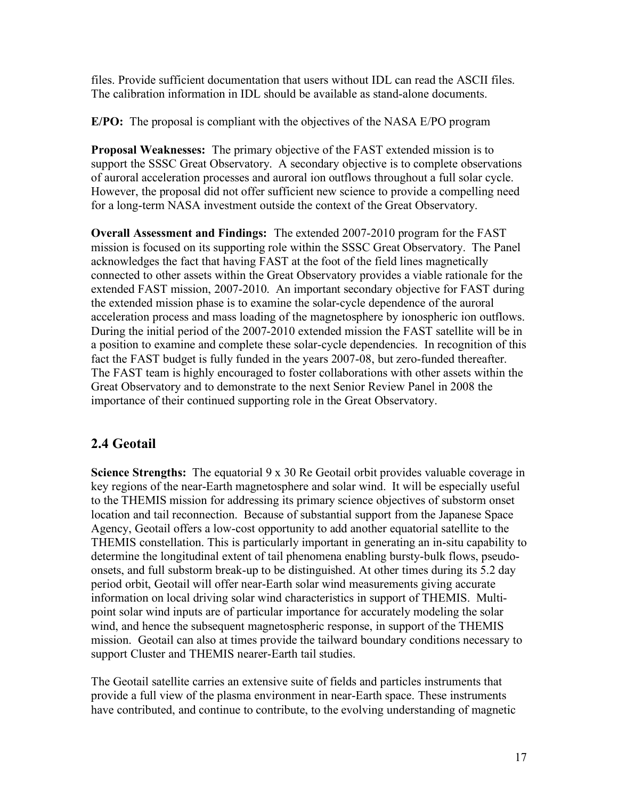files. Provide sufficient documentation that users without IDL can read the ASCII files. The calibration information in IDL should be available as stand-alone documents.

**E/PO:** The proposal is compliant with the objectives of the NASA E/PO program

**Proposal Weaknesses:** The primary objective of the FAST extended mission is to support the SSSC Great Observatory. A secondary objective is to complete observations of auroral acceleration processes and auroral ion outflows throughout a full solar cycle. However, the proposal did not offer sufficient new science to provide a compelling need for a long-term NASA investment outside the context of the Great Observatory.

**Overall Assessment and Findings:** The extended 2007-2010 program for the FAST mission is focused on its supporting role within the SSSC Great Observatory. The Panel acknowledges the fact that having FAST at the foot of the field lines magnetically connected to other assets within the Great Observatory provides a viable rationale for the extended FAST mission, 2007-2010. An important secondary objective for FAST during the extended mission phase is to examine the solar-cycle dependence of the auroral acceleration process and mass loading of the magnetosphere by ionospheric ion outflows. During the initial period of the 2007-2010 extended mission the FAST satellite will be in a position to examine and complete these solar-cycle dependencies. In recognition of this fact the FAST budget is fully funded in the years 2007-08, but zero-funded thereafter. The FAST team is highly encouraged to foster collaborations with other assets within the Great Observatory and to demonstrate to the next Senior Review Panel in 2008 the importance of their continued supporting role in the Great Observatory.

### **2.4 Geotail**

**Science Strengths:** The equatorial 9 x 30 Re Geotail orbit provides valuable coverage in key regions of the near-Earth magnetosphere and solar wind. It will be especially useful to the THEMIS mission for addressing its primary science objectives of substorm onset location and tail reconnection. Because of substantial support from the Japanese Space Agency, Geotail offers a low-cost opportunity to add another equatorial satellite to the THEMIS constellation. This is particularly important in generating an in-situ capability to determine the longitudinal extent of tail phenomena enabling bursty-bulk flows, pseudoonsets, and full substorm break-up to be distinguished. At other times during its 5.2 day period orbit, Geotail will offer near-Earth solar wind measurements giving accurate information on local driving solar wind characteristics in support of THEMIS. Multipoint solar wind inputs are of particular importance for accurately modeling the solar wind, and hence the subsequent magnetospheric response, in support of the THEMIS mission. Geotail can also at times provide the tailward boundary conditions necessary to support Cluster and THEMIS nearer-Earth tail studies.

The Geotail satellite carries an extensive suite of fields and particles instruments that provide a full view of the plasma environment in near-Earth space. These instruments have contributed, and continue to contribute, to the evolving understanding of magnetic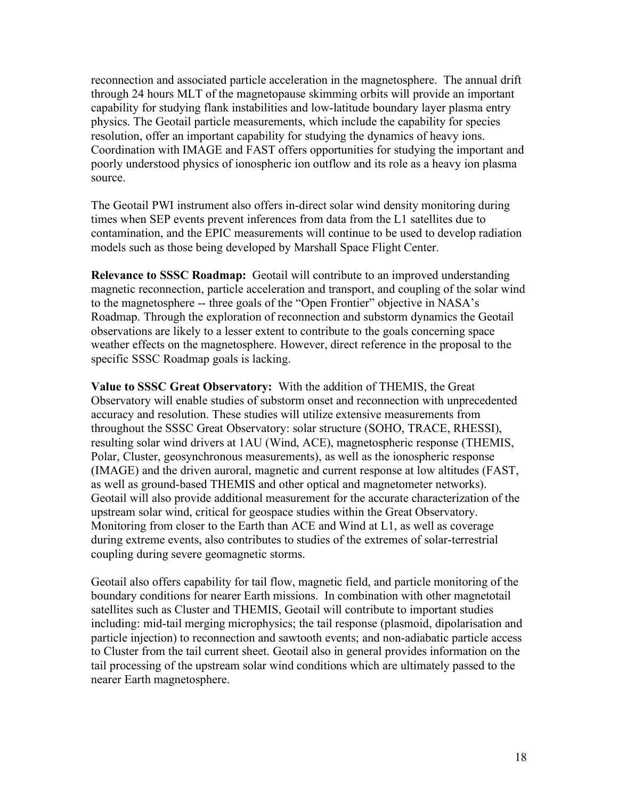reconnection and associated particle acceleration in the magnetosphere. The annual drift through 24 hours MLT of the magnetopause skimming orbits will provide an important capability for studying flank instabilities and low-latitude boundary layer plasma entry physics. The Geotail particle measurements, which include the capability for species resolution, offer an important capability for studying the dynamics of heavy ions. Coordination with IMAGE and FAST offers opportunities for studying the important and poorly understood physics of ionospheric ion outflow and its role as a heavy ion plasma source.

The Geotail PWI instrument also offers in-direct solar wind density monitoring during times when SEP events prevent inferences from data from the L1 satellites due to contamination, and the EPIC measurements will continue to be used to develop radiation models such as those being developed by Marshall Space Flight Center.

**Relevance to SSSC Roadmap:** Geotail will contribute to an improved understanding magnetic reconnection, particle acceleration and transport, and coupling of the solar wind to the magnetosphere -- three goals of the "Open Frontier" objective in NASA's Roadmap. Through the exploration of reconnection and substorm dynamics the Geotail observations are likely to a lesser extent to contribute to the goals concerning space weather effects on the magnetosphere. However, direct reference in the proposal to the specific SSSC Roadmap goals is lacking.

**Value to SSSC Great Observatory:** With the addition of THEMIS, the Great Observatory will enable studies of substorm onset and reconnection with unprecedented accuracy and resolution. These studies will utilize extensive measurements from throughout the SSSC Great Observatory: solar structure (SOHO, TRACE, RHESSI), resulting solar wind drivers at 1AU (Wind, ACE), magnetospheric response (THEMIS, Polar, Cluster, geosynchronous measurements), as well as the ionospheric response (IMAGE) and the driven auroral, magnetic and current response at low altitudes (FAST, as well as ground-based THEMIS and other optical and magnetometer networks). Geotail will also provide additional measurement for the accurate characterization of the upstream solar wind, critical for geospace studies within the Great Observatory. Monitoring from closer to the Earth than ACE and Wind at L1, as well as coverage during extreme events, also contributes to studies of the extremes of solar-terrestrial coupling during severe geomagnetic storms.

Geotail also offers capability for tail flow, magnetic field, and particle monitoring of the boundary conditions for nearer Earth missions. In combination with other magnetotail satellites such as Cluster and THEMIS, Geotail will contribute to important studies including: mid-tail merging microphysics; the tail response (plasmoid, dipolarisation and particle injection) to reconnection and sawtooth events; and non-adiabatic particle access to Cluster from the tail current sheet. Geotail also in general provides information on the tail processing of the upstream solar wind conditions which are ultimately passed to the nearer Earth magnetosphere.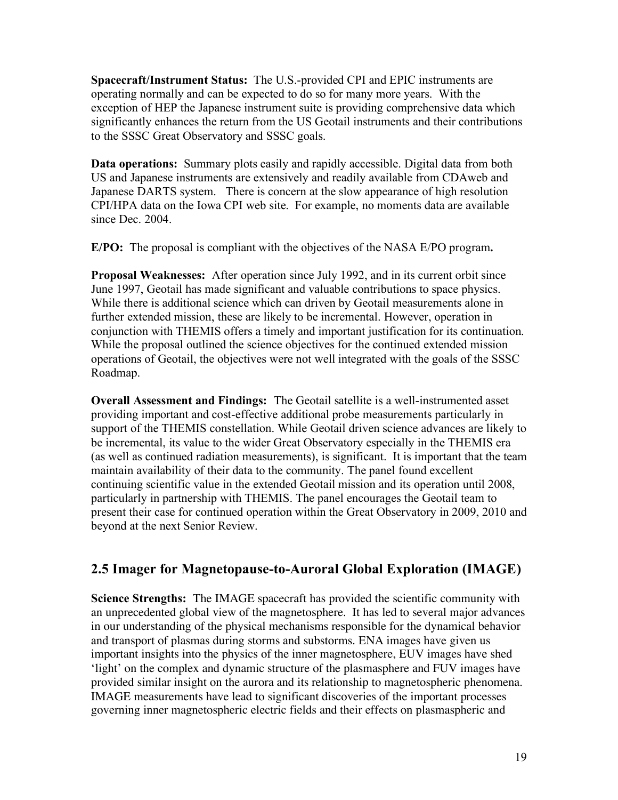**Spacecraft/Instrument Status:** The U.S.-provided CPI and EPIC instruments are operating normally and can be expected to do so for many more years. With the exception of HEP the Japanese instrument suite is providing comprehensive data which significantly enhances the return from the US Geotail instruments and their contributions to the SSSC Great Observatory and SSSC goals.

**Data operations:** Summary plots easily and rapidly accessible. Digital data from both US and Japanese instruments are extensively and readily available from CDAweb and Japanese DARTS system. There is concern at the slow appearance of high resolution CPI/HPA data on the Iowa CPI web site. For example, no moments data are available since Dec. 2004.

**E/PO:** The proposal is compliant with the objectives of the NASA E/PO program**.** 

**Proposal Weaknesses:** After operation since July 1992, and in its current orbit since June 1997, Geotail has made significant and valuable contributions to space physics. While there is additional science which can driven by Geotail measurements alone in further extended mission, these are likely to be incremental. However, operation in conjunction with THEMIS offers a timely and important justification for its continuation. While the proposal outlined the science objectives for the continued extended mission operations of Geotail, the objectives were not well integrated with the goals of the SSSC Roadmap.

**Overall Assessment and Findings:** The Geotail satellite is a well-instrumented asset providing important and cost-effective additional probe measurements particularly in support of the THEMIS constellation. While Geotail driven science advances are likely to be incremental, its value to the wider Great Observatory especially in the THEMIS era (as well as continued radiation measurements), is significant. It is important that the team maintain availability of their data to the community. The panel found excellent continuing scientific value in the extended Geotail mission and its operation until 2008, particularly in partnership with THEMIS. The panel encourages the Geotail team to present their case for continued operation within the Great Observatory in 2009, 2010 and beyond at the next Senior Review.

#### **2.5 Imager for Magnetopause-to-Auroral Global Exploration (IMAGE)**

**Science Strengths:** The IMAGE spacecraft has provided the scientific community with an unprecedented global view of the magnetosphere. It has led to several major advances in our understanding of the physical mechanisms responsible for the dynamical behavior and transport of plasmas during storms and substorms. ENA images have given us important insights into the physics of the inner magnetosphere, EUV images have shed 'light' on the complex and dynamic structure of the plasmasphere and FUV images have provided similar insight on the aurora and its relationship to magnetospheric phenomena. IMAGE measurements have lead to significant discoveries of the important processes governing inner magnetospheric electric fields and their effects on plasmaspheric and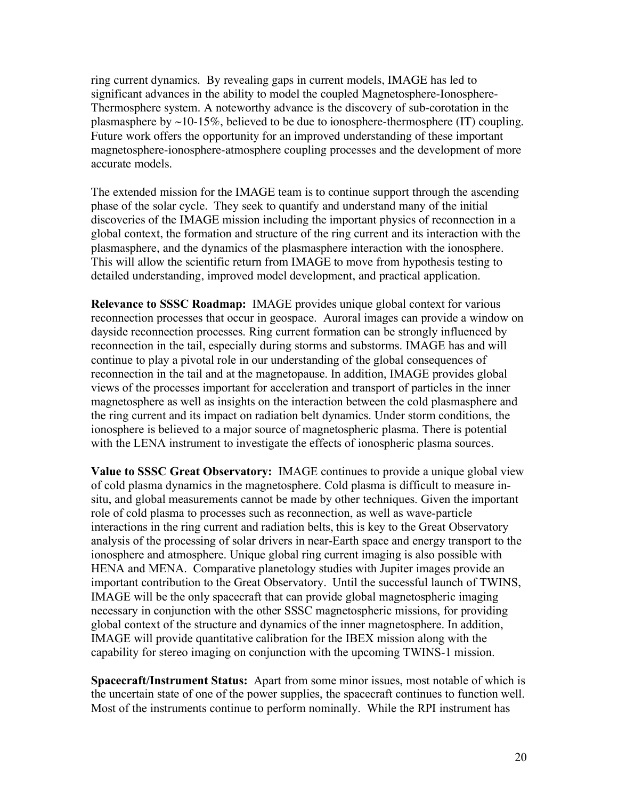ring current dynamics. By revealing gaps in current models, IMAGE has led to significant advances in the ability to model the coupled Magnetosphere-Ionosphere-Thermosphere system. A noteworthy advance is the discovery of sub-corotation in the plasmasphere by  $\sim$ 10-15%, believed to be due to ionosphere-thermosphere (IT) coupling. Future work offers the opportunity for an improved understanding of these important magnetosphere-ionosphere-atmosphere coupling processes and the development of more accurate models.

The extended mission for the IMAGE team is to continue support through the ascending phase of the solar cycle. They seek to quantify and understand many of the initial discoveries of the IMAGE mission including the important physics of reconnection in a global context, the formation and structure of the ring current and its interaction with the plasmasphere, and the dynamics of the plasmasphere interaction with the ionosphere. This will allow the scientific return from IMAGE to move from hypothesis testing to detailed understanding, improved model development, and practical application.

**Relevance to SSSC Roadmap:** IMAGE provides unique global context for various reconnection processes that occur in geospace. Auroral images can provide a window on dayside reconnection processes. Ring current formation can be strongly influenced by reconnection in the tail, especially during storms and substorms. IMAGE has and will continue to play a pivotal role in our understanding of the global consequences of reconnection in the tail and at the magnetopause. In addition, IMAGE provides global views of the processes important for acceleration and transport of particles in the inner magnetosphere as well as insights on the interaction between the cold plasmasphere and the ring current and its impact on radiation belt dynamics. Under storm conditions, the ionosphere is believed to a major source of magnetospheric plasma. There is potential with the LENA instrument to investigate the effects of ionospheric plasma sources.

**Value to SSSC Great Observatory:** IMAGE continues to provide a unique global view of cold plasma dynamics in the magnetosphere. Cold plasma is difficult to measure insitu, and global measurements cannot be made by other techniques. Given the important role of cold plasma to processes such as reconnection, as well as wave-particle interactions in the ring current and radiation belts, this is key to the Great Observatory analysis of the processing of solar drivers in near-Earth space and energy transport to the ionosphere and atmosphere. Unique global ring current imaging is also possible with HENA and MENA. Comparative planetology studies with Jupiter images provide an important contribution to the Great Observatory. Until the successful launch of TWINS, IMAGE will be the only spacecraft that can provide global magnetospheric imaging necessary in conjunction with the other SSSC magnetospheric missions, for providing global context of the structure and dynamics of the inner magnetosphere. In addition, IMAGE will provide quantitative calibration for the IBEX mission along with the capability for stereo imaging on conjunction with the upcoming TWINS-1 mission.

**Spacecraft/Instrument Status:** Apart from some minor issues, most notable of which is the uncertain state of one of the power supplies, the spacecraft continues to function well. Most of the instruments continue to perform nominally. While the RPI instrument has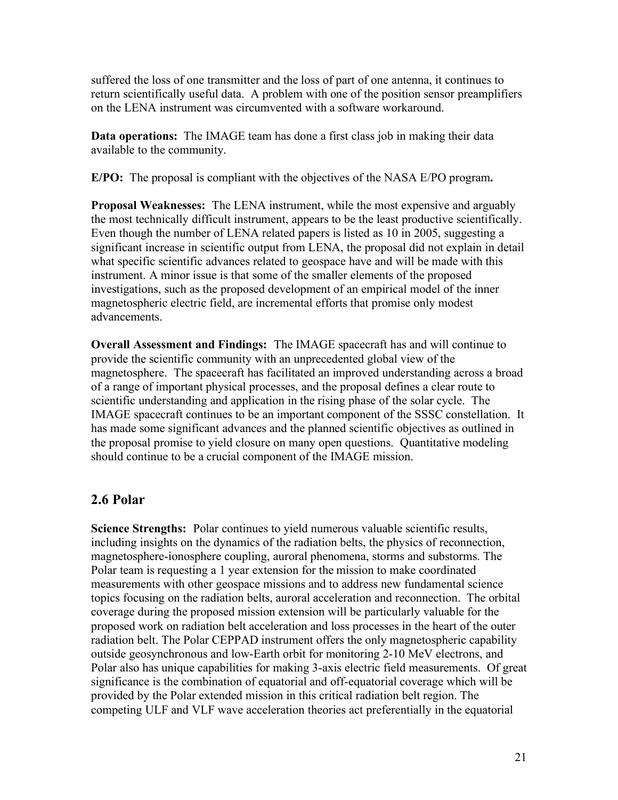suffered the loss of one transmitter and the loss of part of one antenna, it continues to return scientifically useful data. A problem with one of the position sensor preamplifiers on the LENA instrument was circumvented with a software workaround.

**Data operations:** The IMAGE team has done a first class job in making their data available to the community.

**E/PO:** The proposal is compliant with the objectives of the NASA E/PO program**.** 

**Proposal Weaknesses:** The LENA instrument, while the most expensive and arguably the most technically difficult instrument, appears to be the least productive scientifically. Even though the number of LENA related papers is listed as 10 in 2005, suggesting a significant increase in scientific output from LENA, the proposal did not explain in detail what specific scientific advances related to geospace have and will be made with this instrument. A minor issue is that some of the smaller elements of the proposed investigations, such as the proposed development of an empirical model of the inner magnetospheric electric field, are incremental efforts that promise only modest advancements.

**Overall Assessment and Findings:** The IMAGE spacecraft has and will continue to provide the scientific community with an unprecedented global view of the magnetosphere. The spacecraft has facilitated an improved understanding across a broad of a range of important physical processes, and the proposal defines a clear route to scientific understanding and application in the rising phase of the solar cycle. The IMAGE spacecraft continues to be an important component of the SSSC constellation. It has made some significant advances and the planned scientific objectives as outlined in the proposal promise to yield closure on many open questions. Quantitative modeling should continue to be a crucial component of the IMAGE mission.

### **2.6 Polar**

**Science Strengths:** Polar continues to yield numerous valuable scientific results, including insights on the dynamics of the radiation belts, the physics of reconnection, magnetosphere-ionosphere coupling, auroral phenomena, storms and substorms. The Polar team is requesting a 1 year extension for the mission to make coordinated measurements with other geospace missions and to address new fundamental science topics focusing on the radiation belts, auroral acceleration and reconnection. The orbital coverage during the proposed mission extension will be particularly valuable for the proposed work on radiation belt acceleration and loss processes in the heart of the outer radiation belt. The Polar CEPPAD instrument offers the only magnetospheric capability outside geosynchronous and low-Earth orbit for monitoring 2-10 MeV electrons, and Polar also has unique capabilities for making 3-axis electric field measurements. Of great significance is the combination of equatorial and off-equatorial coverage which will be provided by the Polar extended mission in this critical radiation belt region. The competing ULF and VLF wave acceleration theories act preferentially in the equatorial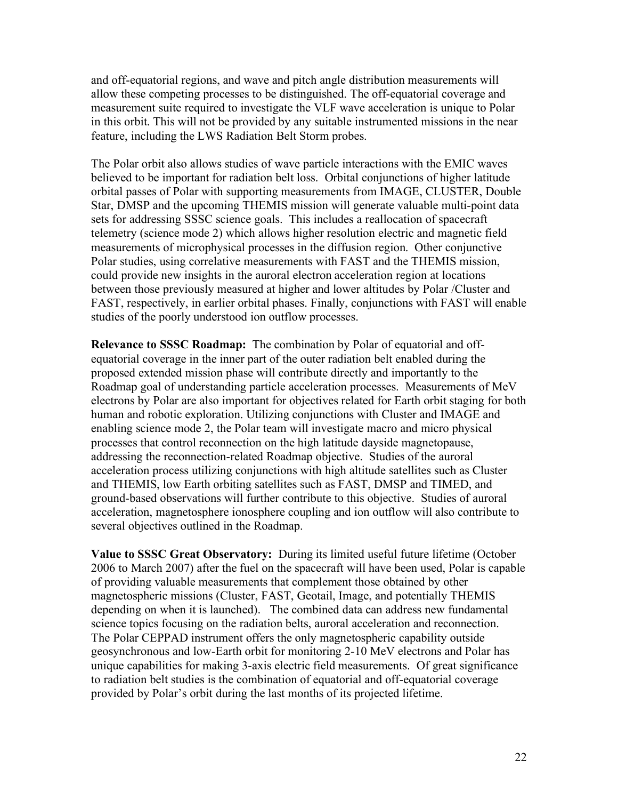and off-equatorial regions, and wave and pitch angle distribution measurements will allow these competing processes to be distinguished. The off-equatorial coverage and measurement suite required to investigate the VLF wave acceleration is unique to Polar in this orbit. This will not be provided by any suitable instrumented missions in the near feature, including the LWS Radiation Belt Storm probes.

The Polar orbit also allows studies of wave particle interactions with the EMIC waves believed to be important for radiation belt loss. Orbital conjunctions of higher latitude orbital passes of Polar with supporting measurements from IMAGE, CLUSTER, Double Star, DMSP and the upcoming THEMIS mission will generate valuable multi-point data sets for addressing SSSC science goals. This includes a reallocation of spacecraft telemetry (science mode 2) which allows higher resolution electric and magnetic field measurements of microphysical processes in the diffusion region. Other conjunctive Polar studies, using correlative measurements with FAST and the THEMIS mission, could provide new insights in the auroral electron acceleration region at locations between those previously measured at higher and lower altitudes by Polar /Cluster and FAST, respectively, in earlier orbital phases. Finally, conjunctions with FAST will enable studies of the poorly understood ion outflow processes.

**Relevance to SSSC Roadmap:** The combination by Polar of equatorial and offequatorial coverage in the inner part of the outer radiation belt enabled during the proposed extended mission phase will contribute directly and importantly to the Roadmap goal of understanding particle acceleration processes. Measurements of MeV electrons by Polar are also important for objectives related for Earth orbit staging for both human and robotic exploration. Utilizing conjunctions with Cluster and IMAGE and enabling science mode 2, the Polar team will investigate macro and micro physical processes that control reconnection on the high latitude dayside magnetopause, addressing the reconnection-related Roadmap objective. Studies of the auroral acceleration process utilizing conjunctions with high altitude satellites such as Cluster and THEMIS, low Earth orbiting satellites such as FAST, DMSP and TIMED, and ground-based observations will further contribute to this objective. Studies of auroral acceleration, magnetosphere ionosphere coupling and ion outflow will also contribute to several objectives outlined in the Roadmap.

**Value to SSSC Great Observatory:** During its limited useful future lifetime (October 2006 to March 2007) after the fuel on the spacecraft will have been used, Polar is capable of providing valuable measurements that complement those obtained by other magnetospheric missions (Cluster, FAST, Geotail, Image, and potentially THEMIS depending on when it is launched). The combined data can address new fundamental science topics focusing on the radiation belts, auroral acceleration and reconnection. The Polar CEPPAD instrument offers the only magnetospheric capability outside geosynchronous and low-Earth orbit for monitoring 2-10 MeV electrons and Polar has unique capabilities for making 3-axis electric field measurements. Of great significance to radiation belt studies is the combination of equatorial and off-equatorial coverage provided by Polar's orbit during the last months of its projected lifetime.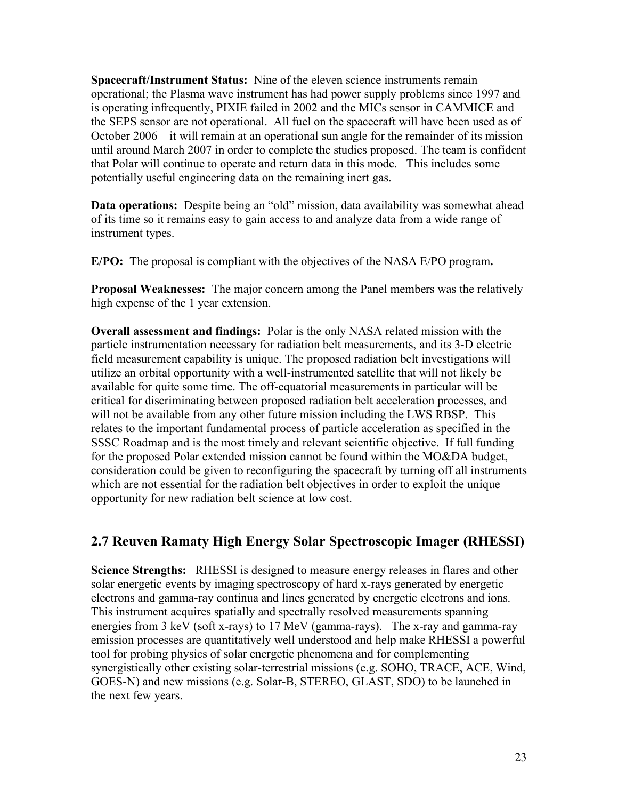**Spacecraft/Instrument Status:** Nine of the eleven science instruments remain operational; the Plasma wave instrument has had power supply problems since 1997 and is operating infrequently, PIXIE failed in 2002 and the MICs sensor in CAMMICE and the SEPS sensor are not operational. All fuel on the spacecraft will have been used as of October 2006 – it will remain at an operational sun angle for the remainder of its mission until around March 2007 in order to complete the studies proposed. The team is confident that Polar will continue to operate and return data in this mode. This includes some potentially useful engineering data on the remaining inert gas.

**Data operations:** Despite being an "old" mission, data availability was somewhat ahead of its time so it remains easy to gain access to and analyze data from a wide range of instrument types.

**E/PO:** The proposal is compliant with the objectives of the NASA E/PO program**.** 

**Proposal Weaknesses:** The major concern among the Panel members was the relatively high expense of the 1 year extension.

**Overall assessment and findings:** Polar is the only NASA related mission with the particle instrumentation necessary for radiation belt measurements, and its 3-D electric field measurement capability is unique. The proposed radiation belt investigations will utilize an orbital opportunity with a well-instrumented satellite that will not likely be available for quite some time. The off-equatorial measurements in particular will be critical for discriminating between proposed radiation belt acceleration processes, and will not be available from any other future mission including the LWS RBSP. This relates to the important fundamental process of particle acceleration as specified in the SSSC Roadmap and is the most timely and relevant scientific objective. If full funding for the proposed Polar extended mission cannot be found within the MO&DA budget, consideration could be given to reconfiguring the spacecraft by turning off all instruments which are not essential for the radiation belt objectives in order to exploit the unique opportunity for new radiation belt science at low cost.

### **2.7 Reuven Ramaty High Energy Solar Spectroscopic Imager (RHESSI)**

**Science Strengths:** RHESSI is designed to measure energy releases in flares and other solar energetic events by imaging spectroscopy of hard x-rays generated by energetic electrons and gamma-ray continua and lines generated by energetic electrons and ions. This instrument acquires spatially and spectrally resolved measurements spanning energies from 3 keV (soft x-rays) to 17 MeV (gamma-rays). The x-ray and gamma-ray emission processes are quantitatively well understood and help make RHESSI a powerful tool for probing physics of solar energetic phenomena and for complementing synergistically other existing solar-terrestrial missions (e.g. SOHO, TRACE, ACE, Wind, GOES-N) and new missions (e.g. Solar-B, STEREO, GLAST, SDO) to be launched in the next few years.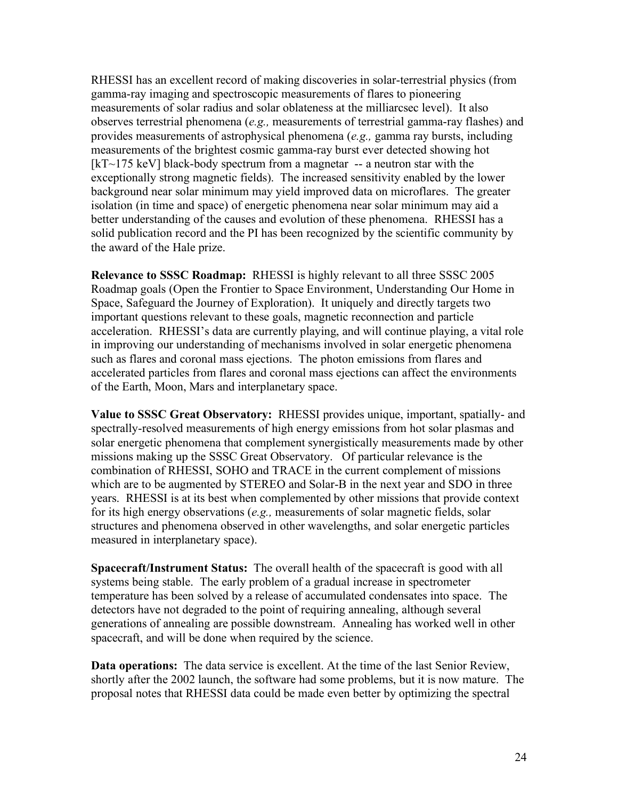RHESSI has an excellent record of making discoveries in solar-terrestrial physics (from gamma-ray imaging and spectroscopic measurements of flares to pioneering measurements of solar radius and solar oblateness at the milliarcsec level). It also observes terrestrial phenomena (*e.g.,* measurements of terrestrial gamma-ray flashes) and provides measurements of astrophysical phenomena (*e.g.,* gamma ray bursts, including measurements of the brightest cosmic gamma-ray burst ever detected showing hot  $[KT~175~keV]$  black-body spectrum from a magnetar  $-$  a neutron star with the exceptionally strong magnetic fields). The increased sensitivity enabled by the lower background near solar minimum may yield improved data on microflares. The greater isolation (in time and space) of energetic phenomena near solar minimum may aid a better understanding of the causes and evolution of these phenomena. RHESSI has a solid publication record and the PI has been recognized by the scientific community by the award of the Hale prize.

**Relevance to SSSC Roadmap:** RHESSI is highly relevant to all three SSSC 2005 Roadmap goals (Open the Frontier to Space Environment, Understanding Our Home in Space, Safeguard the Journey of Exploration). It uniquely and directly targets two important questions relevant to these goals, magnetic reconnection and particle acceleration. RHESSI's data are currently playing, and will continue playing, a vital role in improving our understanding of mechanisms involved in solar energetic phenomena such as flares and coronal mass ejections. The photon emissions from flares and accelerated particles from flares and coronal mass ejections can affect the environments of the Earth, Moon, Mars and interplanetary space.

**Value to SSSC Great Observatory:** RHESSI provides unique, important, spatially- and spectrally-resolved measurements of high energy emissions from hot solar plasmas and solar energetic phenomena that complement synergistically measurements made by other missions making up the SSSC Great Observatory. Of particular relevance is the combination of RHESSI, SOHO and TRACE in the current complement of missions which are to be augmented by STEREO and Solar-B in the next year and SDO in three years. RHESSI is at its best when complemented by other missions that provide context for its high energy observations (*e.g.,* measurements of solar magnetic fields, solar structures and phenomena observed in other wavelengths, and solar energetic particles measured in interplanetary space).

**Spacecraft/Instrument Status:** The overall health of the spacecraft is good with all systems being stable. The early problem of a gradual increase in spectrometer temperature has been solved by a release of accumulated condensates into space. The detectors have not degraded to the point of requiring annealing, although several generations of annealing are possible downstream. Annealing has worked well in other spacecraft, and will be done when required by the science.

**Data operations:** The data service is excellent. At the time of the last Senior Review, shortly after the 2002 launch, the software had some problems, but it is now mature. The proposal notes that RHESSI data could be made even better by optimizing the spectral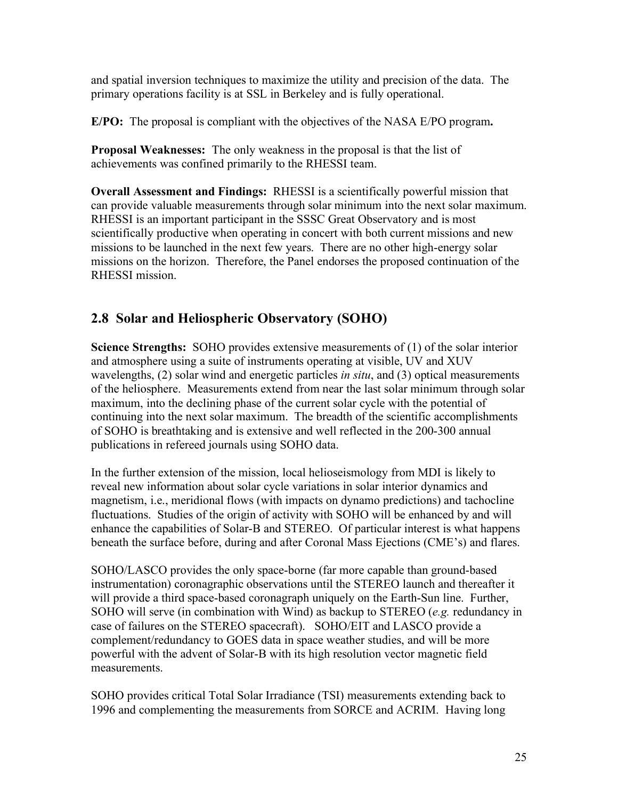and spatial inversion techniques to maximize the utility and precision of the data. The primary operations facility is at SSL in Berkeley and is fully operational.

**E/PO:** The proposal is compliant with the objectives of the NASA E/PO program**.** 

**Proposal Weaknesses:** The only weakness in the proposal is that the list of achievements was confined primarily to the RHESSI team.

**Overall Assessment and Findings:** RHESSI is a scientifically powerful mission that can provide valuable measurements through solar minimum into the next solar maximum. RHESSI is an important participant in the SSSC Great Observatory and is most scientifically productive when operating in concert with both current missions and new missions to be launched in the next few years. There are no other high-energy solar missions on the horizon. Therefore, the Panel endorses the proposed continuation of the RHESSI mission.

### **2.8 Solar and Heliospheric Observatory (SOHO)**

**Science Strengths:** SOHO provides extensive measurements of (1) of the solar interior and atmosphere using a suite of instruments operating at visible, UV and XUV wavelengths, (2) solar wind and energetic particles *in situ*, and (3) optical measurements of the heliosphere. Measurements extend from near the last solar minimum through solar maximum, into the declining phase of the current solar cycle with the potential of continuing into the next solar maximum. The breadth of the scientific accomplishments of SOHO is breathtaking and is extensive and well reflected in the 200-300 annual publications in refereed journals using SOHO data.

In the further extension of the mission, local helioseismology from MDI is likely to reveal new information about solar cycle variations in solar interior dynamics and magnetism, i.e., meridional flows (with impacts on dynamo predictions) and tachocline fluctuations. Studies of the origin of activity with SOHO will be enhanced by and will enhance the capabilities of Solar-B and STEREO. Of particular interest is what happens beneath the surface before, during and after Coronal Mass Ejections (CME's) and flares.

SOHO/LASCO provides the only space-borne (far more capable than ground-based instrumentation) coronagraphic observations until the STEREO launch and thereafter it will provide a third space-based coronagraph uniquely on the Earth-Sun line. Further, SOHO will serve (in combination with Wind) as backup to STEREO (*e.g.* redundancy in case of failures on the STEREO spacecraft). SOHO/EIT and LASCO provide a complement/redundancy to GOES data in space weather studies, and will be more powerful with the advent of Solar-B with its high resolution vector magnetic field measurements.

SOHO provides critical Total Solar Irradiance (TSI) measurements extending back to 1996 and complementing the measurements from SORCE and ACRIM. Having long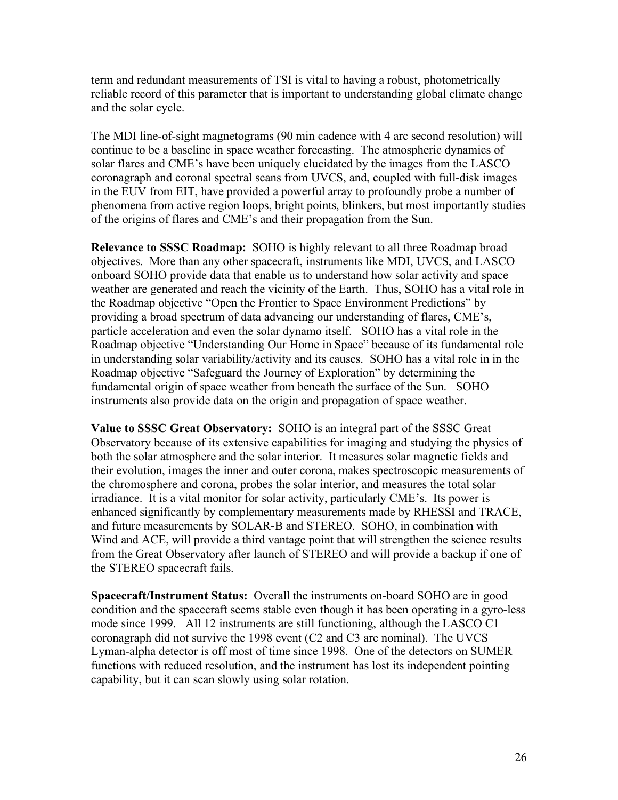term and redundant measurements of TSI is vital to having a robust, photometrically reliable record of this parameter that is important to understanding global climate change and the solar cycle.

The MDI line-of-sight magnetograms (90 min cadence with 4 arc second resolution) will continue to be a baseline in space weather forecasting. The atmospheric dynamics of solar flares and CME's have been uniquely elucidated by the images from the LASCO coronagraph and coronal spectral scans from UVCS, and, coupled with full-disk images in the EUV from EIT, have provided a powerful array to profoundly probe a number of phenomena from active region loops, bright points, blinkers, but most importantly studies of the origins of flares and CME's and their propagation from the Sun.

**Relevance to SSSC Roadmap:** SOHO is highly relevant to all three Roadmap broad objectives. More than any other spacecraft, instruments like MDI, UVCS, and LASCO onboard SOHO provide data that enable us to understand how solar activity and space weather are generated and reach the vicinity of the Earth. Thus, SOHO has a vital role in the Roadmap objective "Open the Frontier to Space Environment Predictions" by providing a broad spectrum of data advancing our understanding of flares, CME's, particle acceleration and even the solar dynamo itself. SOHO has a vital role in the Roadmap objective "Understanding Our Home in Space" because of its fundamental role in understanding solar variability/activity and its causes. SOHO has a vital role in in the Roadmap objective "Safeguard the Journey of Exploration" by determining the fundamental origin of space weather from beneath the surface of the Sun. SOHO instruments also provide data on the origin and propagation of space weather.

**Value to SSSC Great Observatory:** SOHO is an integral part of the SSSC Great Observatory because of its extensive capabilities for imaging and studying the physics of both the solar atmosphere and the solar interior. It measures solar magnetic fields and their evolution, images the inner and outer corona, makes spectroscopic measurements of the chromosphere and corona, probes the solar interior, and measures the total solar irradiance. It is a vital monitor for solar activity, particularly CME's. Its power is enhanced significantly by complementary measurements made by RHESSI and TRACE, and future measurements by SOLAR-B and STEREO. SOHO, in combination with Wind and ACE, will provide a third vantage point that will strengthen the science results from the Great Observatory after launch of STEREO and will provide a backup if one of the STEREO spacecraft fails.

**Spacecraft/Instrument Status:** Overall the instruments on-board SOHO are in good condition and the spacecraft seems stable even though it has been operating in a gyro-less mode since 1999. All 12 instruments are still functioning, although the LASCO C1 coronagraph did not survive the 1998 event (C2 and C3 are nominal). The UVCS Lyman-alpha detector is off most of time since 1998. One of the detectors on SUMER functions with reduced resolution, and the instrument has lost its independent pointing capability, but it can scan slowly using solar rotation.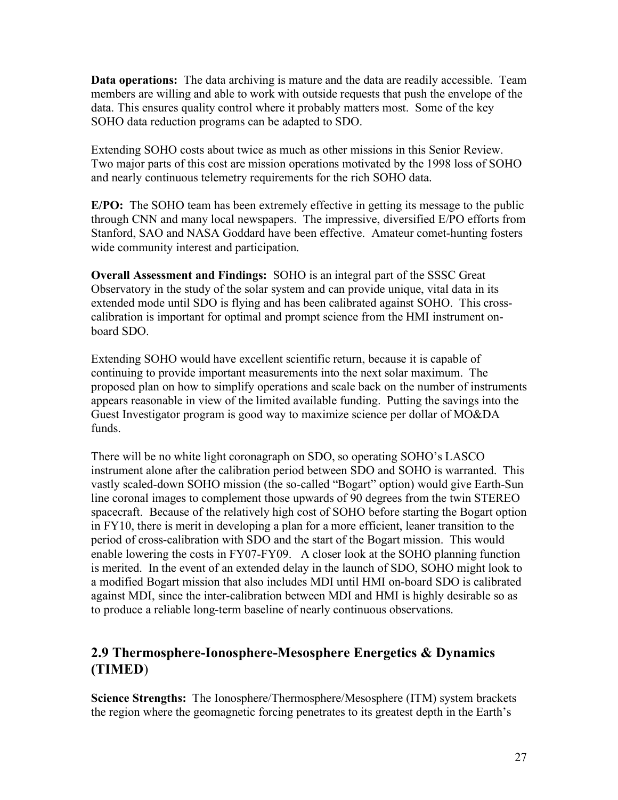**Data operations:** The data archiving is mature and the data are readily accessible. Team members are willing and able to work with outside requests that push the envelope of the data. This ensures quality control where it probably matters most. Some of the key SOHO data reduction programs can be adapted to SDO.

Extending SOHO costs about twice as much as other missions in this Senior Review. Two major parts of this cost are mission operations motivated by the 1998 loss of SOHO and nearly continuous telemetry requirements for the rich SOHO data.

**E/PO:** The SOHO team has been extremely effective in getting its message to the public through CNN and many local newspapers. The impressive, diversified E/PO efforts from Stanford, SAO and NASA Goddard have been effective. Amateur comet-hunting fosters wide community interest and participation.

**Overall Assessment and Findings:** SOHO is an integral part of the SSSC Great Observatory in the study of the solar system and can provide unique, vital data in its extended mode until SDO is flying and has been calibrated against SOHO. This crosscalibration is important for optimal and prompt science from the HMI instrument onboard SDO.

Extending SOHO would have excellent scientific return, because it is capable of continuing to provide important measurements into the next solar maximum. The proposed plan on how to simplify operations and scale back on the number of instruments appears reasonable in view of the limited available funding. Putting the savings into the Guest Investigator program is good way to maximize science per dollar of MO&DA funds.

There will be no white light coronagraph on SDO, so operating SOHO's LASCO instrument alone after the calibration period between SDO and SOHO is warranted. This vastly scaled-down SOHO mission (the so-called "Bogart" option) would give Earth-Sun line coronal images to complement those upwards of 90 degrees from the twin STEREO spacecraft. Because of the relatively high cost of SOHO before starting the Bogart option in FY10, there is merit in developing a plan for a more efficient, leaner transition to the period of cross-calibration with SDO and the start of the Bogart mission. This would enable lowering the costs in FY07-FY09. A closer look at the SOHO planning function is merited. In the event of an extended delay in the launch of SDO, SOHO might look to a modified Bogart mission that also includes MDI until HMI on-board SDO is calibrated against MDI, since the inter-calibration between MDI and HMI is highly desirable so as to produce a reliable long-term baseline of nearly continuous observations.

### **2.9 Thermosphere-Ionosphere-Mesosphere Energetics & Dynamics (TIMED**)

**Science Strengths:** The Ionosphere/Thermosphere/Mesosphere (ITM) system brackets the region where the geomagnetic forcing penetrates to its greatest depth in the Earth's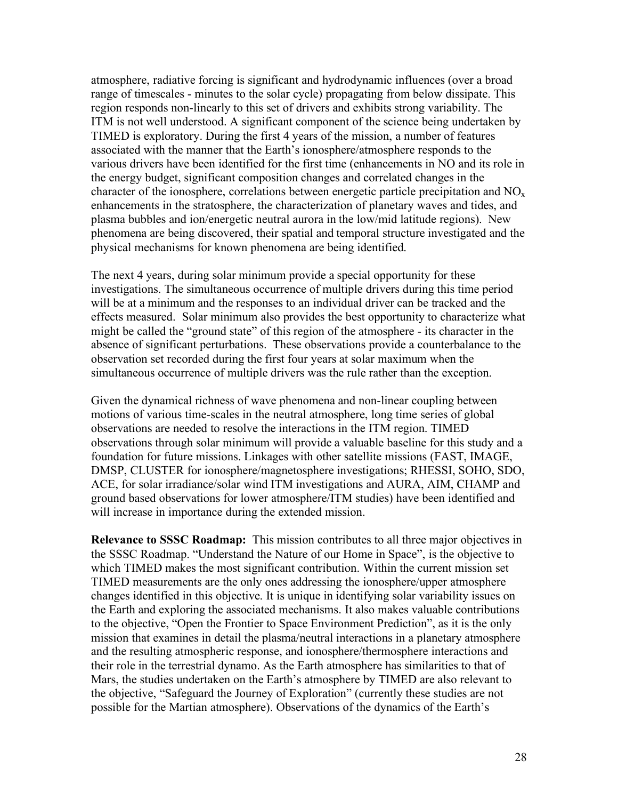atmosphere, radiative forcing is significant and hydrodynamic influences (over a broad range of timescales - minutes to the solar cycle) propagating from below dissipate. This region responds non-linearly to this set of drivers and exhibits strong variability. The ITM is not well understood. A significant component of the science being undertaken by TIMED is exploratory. During the first 4 years of the mission, a number of features associated with the manner that the Earth's ionosphere/atmosphere responds to the various drivers have been identified for the first time (enhancements in NO and its role in the energy budget, significant composition changes and correlated changes in the character of the ionosphere, correlations between energetic particle precipitation and  $NO<sub>x</sub>$ enhancements in the stratosphere, the characterization of planetary waves and tides, and plasma bubbles and ion/energetic neutral aurora in the low/mid latitude regions). New phenomena are being discovered, their spatial and temporal structure investigated and the physical mechanisms for known phenomena are being identified.

The next 4 years, during solar minimum provide a special opportunity for these investigations. The simultaneous occurrence of multiple drivers during this time period will be at a minimum and the responses to an individual driver can be tracked and the effects measured. Solar minimum also provides the best opportunity to characterize what might be called the "ground state" of this region of the atmosphere - its character in the absence of significant perturbations. These observations provide a counterbalance to the observation set recorded during the first four years at solar maximum when the simultaneous occurrence of multiple drivers was the rule rather than the exception.

Given the dynamical richness of wave phenomena and non-linear coupling between motions of various time-scales in the neutral atmosphere, long time series of global observations are needed to resolve the interactions in the ITM region. TIMED observations through solar minimum will provide a valuable baseline for this study and a foundation for future missions. Linkages with other satellite missions (FAST, IMAGE, DMSP, CLUSTER for ionosphere/magnetosphere investigations; RHESSI, SOHO, SDO, ACE, for solar irradiance/solar wind ITM investigations and AURA, AIM, CHAMP and ground based observations for lower atmosphere/ITM studies) have been identified and will increase in importance during the extended mission.

**Relevance to SSSC Roadmap:** This mission contributes to all three major objectives in the SSSC Roadmap. "Understand the Nature of our Home in Space", is the objective to which TIMED makes the most significant contribution. Within the current mission set TIMED measurements are the only ones addressing the ionosphere/upper atmosphere changes identified in this objective. It is unique in identifying solar variability issues on the Earth and exploring the associated mechanisms. It also makes valuable contributions to the objective, "Open the Frontier to Space Environment Prediction", as it is the only mission that examines in detail the plasma/neutral interactions in a planetary atmosphere and the resulting atmospheric response, and ionosphere/thermosphere interactions and their role in the terrestrial dynamo. As the Earth atmosphere has similarities to that of Mars, the studies undertaken on the Earth's atmosphere by TIMED are also relevant to the objective, "Safeguard the Journey of Exploration" (currently these studies are not possible for the Martian atmosphere). Observations of the dynamics of the Earth's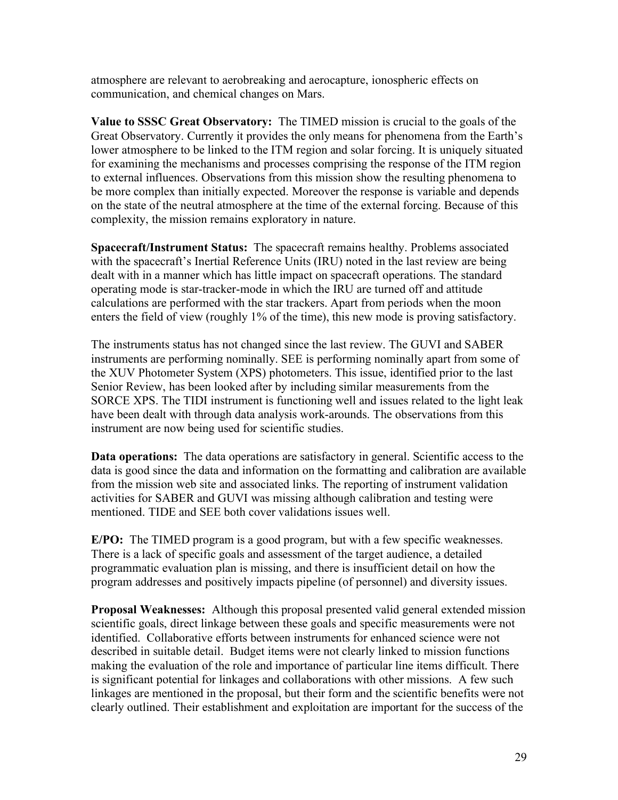atmosphere are relevant to aerobreaking and aerocapture, ionospheric effects on communication, and chemical changes on Mars.

**Value to SSSC Great Observatory:** The TIMED mission is crucial to the goals of the Great Observatory. Currently it provides the only means for phenomena from the Earth's lower atmosphere to be linked to the ITM region and solar forcing. It is uniquely situated for examining the mechanisms and processes comprising the response of the ITM region to external influences. Observations from this mission show the resulting phenomena to be more complex than initially expected. Moreover the response is variable and depends on the state of the neutral atmosphere at the time of the external forcing. Because of this complexity, the mission remains exploratory in nature.

**Spacecraft/Instrument Status:** The spacecraft remains healthy. Problems associated with the spacecraft's Inertial Reference Units (IRU) noted in the last review are being dealt with in a manner which has little impact on spacecraft operations. The standard operating mode is star-tracker-mode in which the IRU are turned off and attitude calculations are performed with the star trackers. Apart from periods when the moon enters the field of view (roughly 1% of the time), this new mode is proving satisfactory.

The instruments status has not changed since the last review. The GUVI and SABER instruments are performing nominally. SEE is performing nominally apart from some of the XUV Photometer System (XPS) photometers. This issue, identified prior to the last Senior Review, has been looked after by including similar measurements from the SORCE XPS. The TIDI instrument is functioning well and issues related to the light leak have been dealt with through data analysis work-arounds. The observations from this instrument are now being used for scientific studies.

**Data operations:** The data operations are satisfactory in general. Scientific access to the data is good since the data and information on the formatting and calibration are available from the mission web site and associated links. The reporting of instrument validation activities for SABER and GUVI was missing although calibration and testing were mentioned. TIDE and SEE both cover validations issues well.

**E/PO:** The TIMED program is a good program, but with a few specific weaknesses. There is a lack of specific goals and assessment of the target audience, a detailed programmatic evaluation plan is missing, and there is insufficient detail on how the program addresses and positively impacts pipeline (of personnel) and diversity issues.

**Proposal Weaknesses:** Although this proposal presented valid general extended mission scientific goals, direct linkage between these goals and specific measurements were not identified. Collaborative efforts between instruments for enhanced science were not described in suitable detail. Budget items were not clearly linked to mission functions making the evaluation of the role and importance of particular line items difficult. There is significant potential for linkages and collaborations with other missions. A few such linkages are mentioned in the proposal, but their form and the scientific benefits were not clearly outlined. Their establishment and exploitation are important for the success of the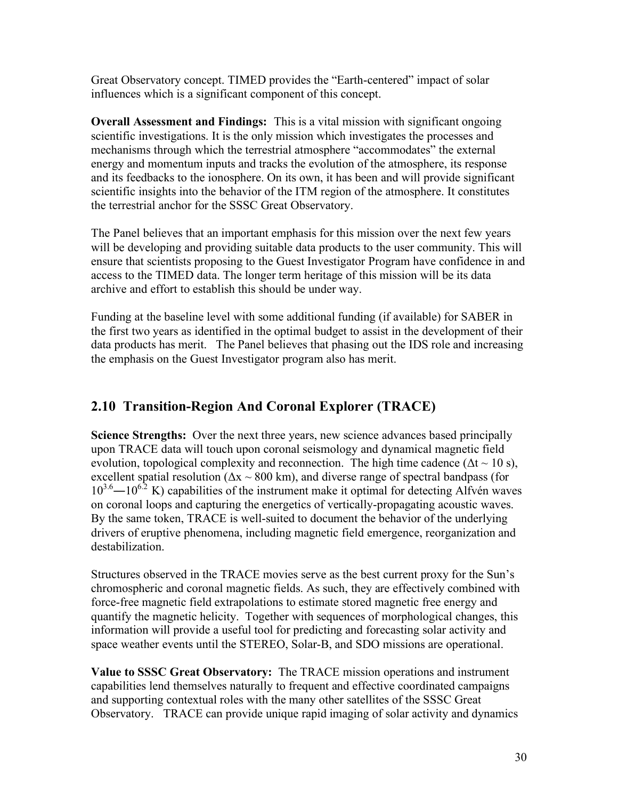Great Observatory concept. TIMED provides the "Earth-centered" impact of solar influences which is a significant component of this concept.

**Overall Assessment and Findings:** This is a vital mission with significant ongoing scientific investigations. It is the only mission which investigates the processes and mechanisms through which the terrestrial atmosphere "accommodates" the external energy and momentum inputs and tracks the evolution of the atmosphere, its response and its feedbacks to the ionosphere. On its own, it has been and will provide significant scientific insights into the behavior of the ITM region of the atmosphere. It constitutes the terrestrial anchor for the SSSC Great Observatory.

The Panel believes that an important emphasis for this mission over the next few years will be developing and providing suitable data products to the user community. This will ensure that scientists proposing to the Guest Investigator Program have confidence in and access to the TIMED data. The longer term heritage of this mission will be its data archive and effort to establish this should be under way.

Funding at the baseline level with some additional funding (if available) for SABER in the first two years as identified in the optimal budget to assist in the development of their data products has merit. The Panel believes that phasing out the IDS role and increasing the emphasis on the Guest Investigator program also has merit.

# **2.10 Transition-Region And Coronal Explorer (TRACE)**

**Science Strengths:** Over the next three years, new science advances based principally upon TRACE data will touch upon coronal seismology and dynamical magnetic field evolution, topological complexity and reconnection. The high time cadence  $(\Delta t \sim 10 \text{ s})$ , excellent spatial resolution ( $\Delta x \sim 800$  km), and diverse range of spectral bandpass (for  $10^{3.6}$ — $10^{6.2}$  K) capabilities of the instrument make it optimal for detecting Alfvén waves on coronal loops and capturing the energetics of vertically-propagating acoustic waves. By the same token, TRACE is well-suited to document the behavior of the underlying drivers of eruptive phenomena, including magnetic field emergence, reorganization and destabilization.

Structures observed in the TRACE movies serve as the best current proxy for the Sun's chromospheric and coronal magnetic fields. As such, they are effectively combined with force-free magnetic field extrapolations to estimate stored magnetic free energy and quantify the magnetic helicity. Together with sequences of morphological changes, this information will provide a useful tool for predicting and forecasting solar activity and space weather events until the STEREO, Solar-B, and SDO missions are operational.

**Value to SSSC Great Observatory:** The TRACE mission operations and instrument capabilities lend themselves naturally to frequent and effective coordinated campaigns and supporting contextual roles with the many other satellites of the SSSC Great Observatory. TRACE can provide unique rapid imaging of solar activity and dynamics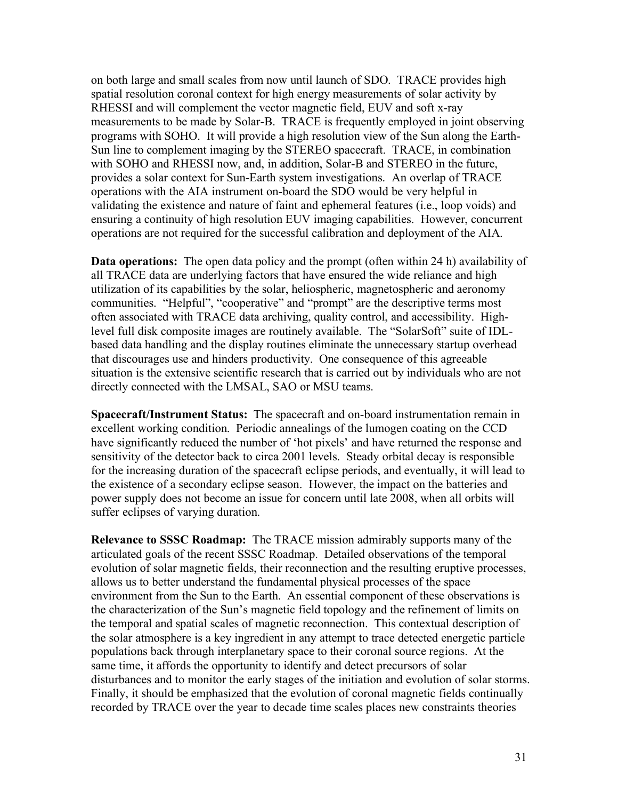on both large and small scales from now until launch of SDO. TRACE provides high spatial resolution coronal context for high energy measurements of solar activity by RHESSI and will complement the vector magnetic field, EUV and soft x-ray measurements to be made by Solar-B. TRACE is frequently employed in joint observing programs with SOHO. It will provide a high resolution view of the Sun along the Earth-Sun line to complement imaging by the STEREO spacecraft. TRACE, in combination with SOHO and RHESSI now, and, in addition, Solar-B and STEREO in the future, provides a solar context for Sun-Earth system investigations. An overlap of TRACE operations with the AIA instrument on-board the SDO would be very helpful in validating the existence and nature of faint and ephemeral features (i.e., loop voids) and ensuring a continuity of high resolution EUV imaging capabilities. However, concurrent operations are not required for the successful calibration and deployment of the AIA.

**Data operations:** The open data policy and the prompt (often within 24 h) availability of all TRACE data are underlying factors that have ensured the wide reliance and high utilization of its capabilities by the solar, heliospheric, magnetospheric and aeronomy communities. "Helpful", "cooperative" and "prompt" are the descriptive terms most often associated with TRACE data archiving, quality control, and accessibility. Highlevel full disk composite images are routinely available. The "SolarSoft" suite of IDLbased data handling and the display routines eliminate the unnecessary startup overhead that discourages use and hinders productivity. One consequence of this agreeable situation is the extensive scientific research that is carried out by individuals who are not directly connected with the LMSAL, SAO or MSU teams.

**Spacecraft/Instrument Status:** The spacecraft and on-board instrumentation remain in excellent working condition. Periodic annealings of the lumogen coating on the CCD have significantly reduced the number of 'hot pixels' and have returned the response and sensitivity of the detector back to circa 2001 levels. Steady orbital decay is responsible for the increasing duration of the spacecraft eclipse periods, and eventually, it will lead to the existence of a secondary eclipse season. However, the impact on the batteries and power supply does not become an issue for concern until late 2008, when all orbits will suffer eclipses of varying duration.

**Relevance to SSSC Roadmap:** The TRACE mission admirably supports many of the articulated goals of the recent SSSC Roadmap. Detailed observations of the temporal evolution of solar magnetic fields, their reconnection and the resulting eruptive processes, allows us to better understand the fundamental physical processes of the space environment from the Sun to the Earth. An essential component of these observations is the characterization of the Sun's magnetic field topology and the refinement of limits on the temporal and spatial scales of magnetic reconnection. This contextual description of the solar atmosphere is a key ingredient in any attempt to trace detected energetic particle populations back through interplanetary space to their coronal source regions. At the same time, it affords the opportunity to identify and detect precursors of solar disturbances and to monitor the early stages of the initiation and evolution of solar storms. Finally, it should be emphasized that the evolution of coronal magnetic fields continually recorded by TRACE over the year to decade time scales places new constraints theories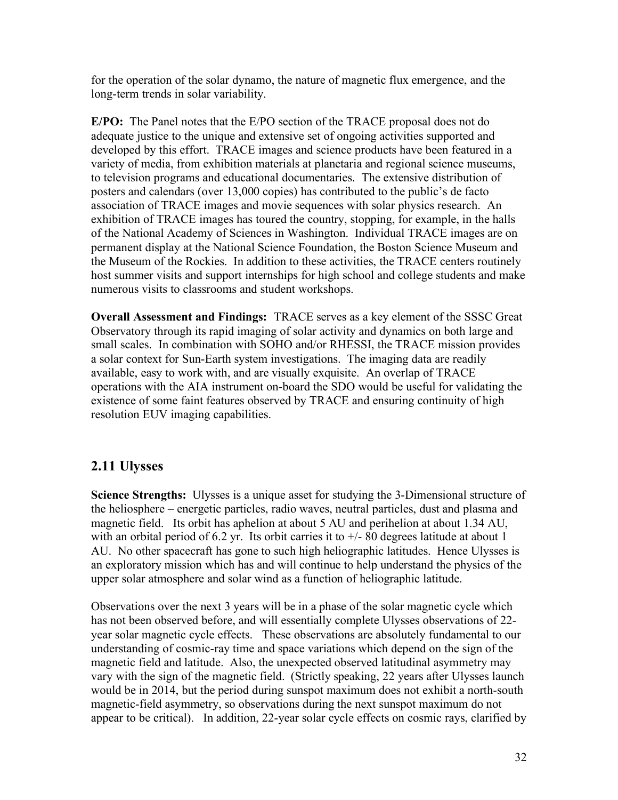for the operation of the solar dynamo, the nature of magnetic flux emergence, and the long-term trends in solar variability.

**E/PO:** The Panel notes that the E/PO section of the TRACE proposal does not do adequate justice to the unique and extensive set of ongoing activities supported and developed by this effort. TRACE images and science products have been featured in a variety of media, from exhibition materials at planetaria and regional science museums, to television programs and educational documentaries. The extensive distribution of posters and calendars (over 13,000 copies) has contributed to the public's de facto association of TRACE images and movie sequences with solar physics research. An exhibition of TRACE images has toured the country, stopping, for example, in the halls of the National Academy of Sciences in Washington. Individual TRACE images are on permanent display at the National Science Foundation, the Boston Science Museum and the Museum of the Rockies. In addition to these activities, the TRACE centers routinely host summer visits and support internships for high school and college students and make numerous visits to classrooms and student workshops.

**Overall Assessment and Findings:** TRACE serves as a key element of the SSSC Great Observatory through its rapid imaging of solar activity and dynamics on both large and small scales. In combination with SOHO and/or RHESSI, the TRACE mission provides a solar context for Sun-Earth system investigations. The imaging data are readily available, easy to work with, and are visually exquisite. An overlap of TRACE operations with the AIA instrument on-board the SDO would be useful for validating the existence of some faint features observed by TRACE and ensuring continuity of high resolution EUV imaging capabilities.

### **2.11 Ulysses**

**Science Strengths:** Ulysses is a unique asset for studying the 3-Dimensional structure of the heliosphere – energetic particles, radio waves, neutral particles, dust and plasma and magnetic field. Its orbit has aphelion at about 5 AU and perihelion at about 1.34 AU, with an orbital period of 6.2 yr. Its orbit carries it to  $+/-$  80 degrees latitude at about 1 AU. No other spacecraft has gone to such high heliographic latitudes. Hence Ulysses is an exploratory mission which has and will continue to help understand the physics of the upper solar atmosphere and solar wind as a function of heliographic latitude.

Observations over the next 3 years will be in a phase of the solar magnetic cycle which has not been observed before, and will essentially complete Ulysses observations of 22 year solar magnetic cycle effects. These observations are absolutely fundamental to our understanding of cosmic-ray time and space variations which depend on the sign of the magnetic field and latitude. Also, the unexpected observed latitudinal asymmetry may vary with the sign of the magnetic field. (Strictly speaking, 22 years after Ulysses launch would be in 2014, but the period during sunspot maximum does not exhibit a north-south magnetic-field asymmetry, so observations during the next sunspot maximum do not appear to be critical). In addition, 22-year solar cycle effects on cosmic rays, clarified by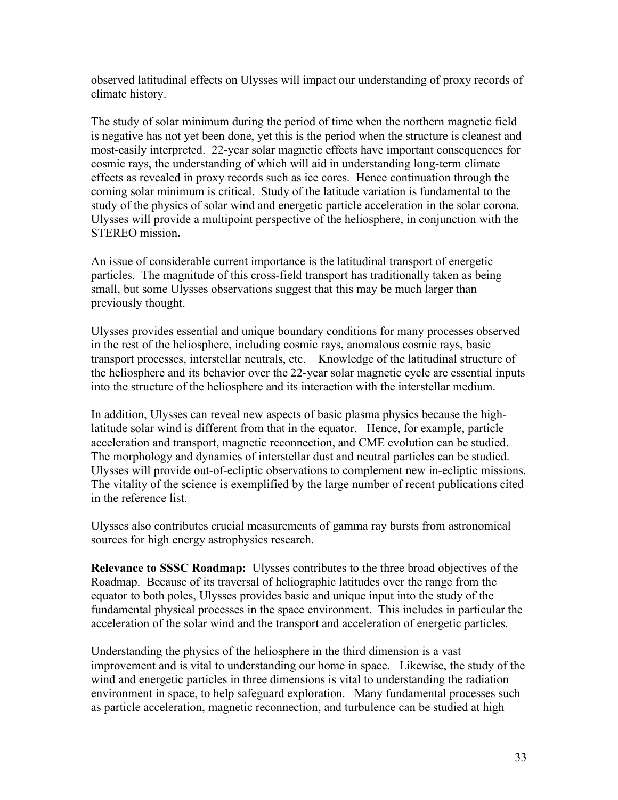observed latitudinal effects on Ulysses will impact our understanding of proxy records of climate history.

The study of solar minimum during the period of time when the northern magnetic field is negative has not yet been done, yet this is the period when the structure is cleanest and most-easily interpreted. 22-year solar magnetic effects have important consequences for cosmic rays, the understanding of which will aid in understanding long-term climate effects as revealed in proxy records such as ice cores. Hence continuation through the coming solar minimum is critical. Study of the latitude variation is fundamental to the study of the physics of solar wind and energetic particle acceleration in the solar corona. Ulysses will provide a multipoint perspective of the heliosphere, in conjunction with the STEREO mission**.** 

An issue of considerable current importance is the latitudinal transport of energetic particles. The magnitude of this cross-field transport has traditionally taken as being small, but some Ulysses observations suggest that this may be much larger than previously thought.

Ulysses provides essential and unique boundary conditions for many processes observed in the rest of the heliosphere, including cosmic rays, anomalous cosmic rays, basic transport processes, interstellar neutrals, etc. Knowledge of the latitudinal structure of the heliosphere and its behavior over the 22-year solar magnetic cycle are essential inputs into the structure of the heliosphere and its interaction with the interstellar medium.

In addition, Ulysses can reveal new aspects of basic plasma physics because the highlatitude solar wind is different from that in the equator. Hence, for example, particle acceleration and transport, magnetic reconnection, and CME evolution can be studied. The morphology and dynamics of interstellar dust and neutral particles can be studied. Ulysses will provide out-of-ecliptic observations to complement new in-ecliptic missions. The vitality of the science is exemplified by the large number of recent publications cited in the reference list.

Ulysses also contributes crucial measurements of gamma ray bursts from astronomical sources for high energy astrophysics research.

**Relevance to SSSC Roadmap:** Ulysses contributes to the three broad objectives of the Roadmap. Because of its traversal of heliographic latitudes over the range from the equator to both poles, Ulysses provides basic and unique input into the study of the fundamental physical processes in the space environment. This includes in particular the acceleration of the solar wind and the transport and acceleration of energetic particles.

Understanding the physics of the heliosphere in the third dimension is a vast improvement and is vital to understanding our home in space. Likewise, the study of the wind and energetic particles in three dimensions is vital to understanding the radiation environment in space, to help safeguard exploration. Many fundamental processes such as particle acceleration, magnetic reconnection, and turbulence can be studied at high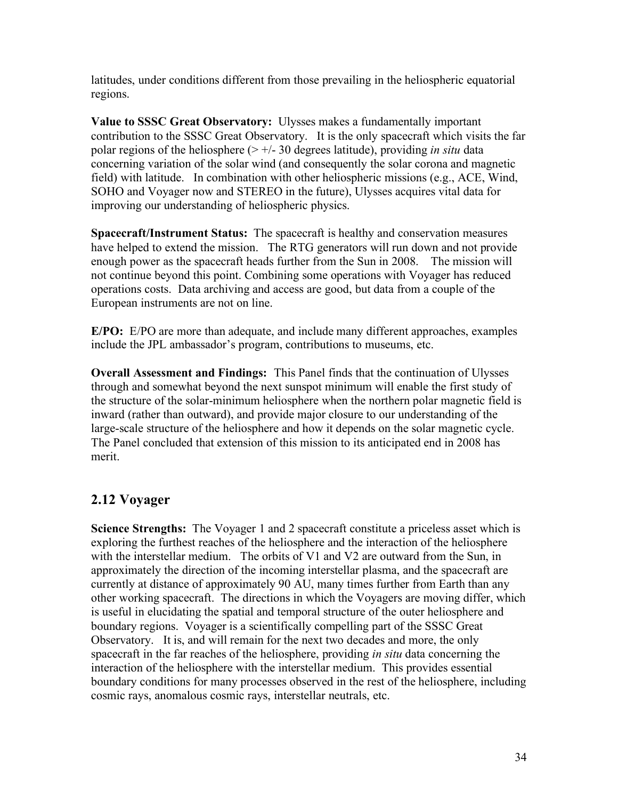latitudes, under conditions different from those prevailing in the heliospheric equatorial regions.

**Value to SSSC Great Observatory:** Ulysses makes a fundamentally important contribution to the SSSC Great Observatory. It is the only spacecraft which visits the far polar regions of the heliosphere (> +/- 30 degrees latitude), providing *in situ* data concerning variation of the solar wind (and consequently the solar corona and magnetic field) with latitude. In combination with other heliospheric missions (e.g., ACE, Wind, SOHO and Voyager now and STEREO in the future), Ulysses acquires vital data for improving our understanding of heliospheric physics.

**Spacecraft/Instrument Status:** The spacecraft is healthy and conservation measures have helped to extend the mission. The RTG generators will run down and not provide enough power as the spacecraft heads further from the Sun in 2008. The mission will not continue beyond this point. Combining some operations with Voyager has reduced operations costs. Data archiving and access are good, but data from a couple of the European instruments are not on line.

**E/PO:** E/PO are more than adequate, and include many different approaches, examples include the JPL ambassador's program, contributions to museums, etc.

**Overall Assessment and Findings:** This Panel finds that the continuation of Ulysses through and somewhat beyond the next sunspot minimum will enable the first study of the structure of the solar-minimum heliosphere when the northern polar magnetic field is inward (rather than outward), and provide major closure to our understanding of the large-scale structure of the heliosphere and how it depends on the solar magnetic cycle. The Panel concluded that extension of this mission to its anticipated end in 2008 has merit.

### **2.12 Voyager**

**Science Strengths:** The Voyager 1 and 2 spacecraft constitute a priceless asset which is exploring the furthest reaches of the heliosphere and the interaction of the heliosphere with the interstellar medium. The orbits of V1 and V2 are outward from the Sun, in approximately the direction of the incoming interstellar plasma, and the spacecraft are currently at distance of approximately 90 AU, many times further from Earth than any other working spacecraft. The directions in which the Voyagers are moving differ, which is useful in elucidating the spatial and temporal structure of the outer heliosphere and boundary regions. Voyager is a scientifically compelling part of the SSSC Great Observatory. It is, and will remain for the next two decades and more, the only spacecraft in the far reaches of the heliosphere, providing *in situ* data concerning the interaction of the heliosphere with the interstellar medium. This provides essential boundary conditions for many processes observed in the rest of the heliosphere, including cosmic rays, anomalous cosmic rays, interstellar neutrals, etc.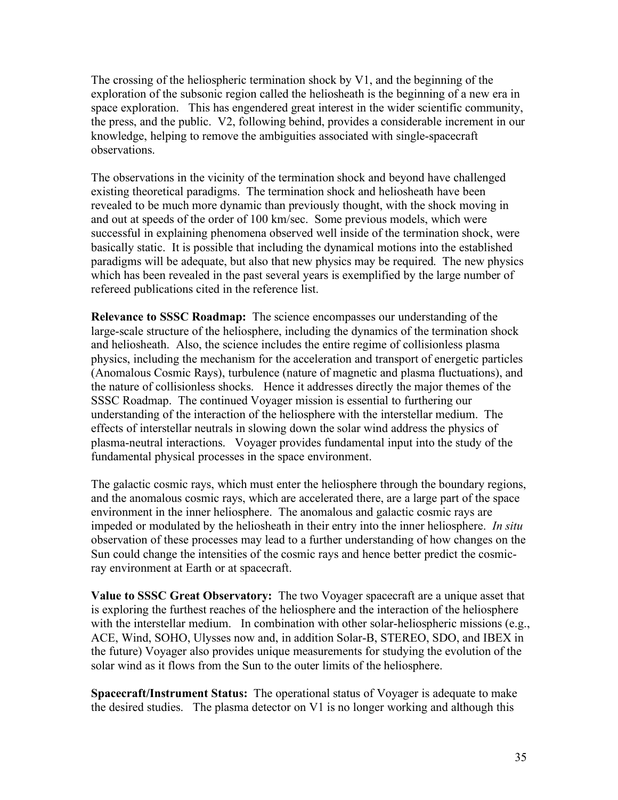The crossing of the heliospheric termination shock by V1, and the beginning of the exploration of the subsonic region called the heliosheath is the beginning of a new era in space exploration. This has engendered great interest in the wider scientific community, the press, and the public. V2, following behind, provides a considerable increment in our knowledge, helping to remove the ambiguities associated with single-spacecraft observations.

The observations in the vicinity of the termination shock and beyond have challenged existing theoretical paradigms. The termination shock and heliosheath have been revealed to be much more dynamic than previously thought, with the shock moving in and out at speeds of the order of 100 km/sec. Some previous models, which were successful in explaining phenomena observed well inside of the termination shock, were basically static. It is possible that including the dynamical motions into the established paradigms will be adequate, but also that new physics may be required. The new physics which has been revealed in the past several years is exemplified by the large number of refereed publications cited in the reference list.

**Relevance to SSSC Roadmap:** The science encompasses our understanding of the large-scale structure of the heliosphere, including the dynamics of the termination shock and heliosheath. Also, the science includes the entire regime of collisionless plasma physics, including the mechanism for the acceleration and transport of energetic particles (Anomalous Cosmic Rays), turbulence (nature of magnetic and plasma fluctuations), and the nature of collisionless shocks. Hence it addresses directly the major themes of the SSSC Roadmap. The continued Voyager mission is essential to furthering our understanding of the interaction of the heliosphere with the interstellar medium. The effects of interstellar neutrals in slowing down the solar wind address the physics of plasma-neutral interactions. Voyager provides fundamental input into the study of the fundamental physical processes in the space environment.

The galactic cosmic rays, which must enter the heliosphere through the boundary regions, and the anomalous cosmic rays, which are accelerated there, are a large part of the space environment in the inner heliosphere. The anomalous and galactic cosmic rays are impeded or modulated by the heliosheath in their entry into the inner heliosphere. *In situ*  observation of these processes may lead to a further understanding of how changes on the Sun could change the intensities of the cosmic rays and hence better predict the cosmicray environment at Earth or at spacecraft.

**Value to SSSC Great Observatory:** The two Voyager spacecraft are a unique asset that is exploring the furthest reaches of the heliosphere and the interaction of the heliosphere with the interstellar medium. In combination with other solar-heliospheric missions (e.g., ACE, Wind, SOHO, Ulysses now and, in addition Solar-B, STEREO, SDO, and IBEX in the future) Voyager also provides unique measurements for studying the evolution of the solar wind as it flows from the Sun to the outer limits of the heliosphere.

**Spacecraft/Instrument Status:** The operational status of Voyager is adequate to make the desired studies. The plasma detector on V1 is no longer working and although this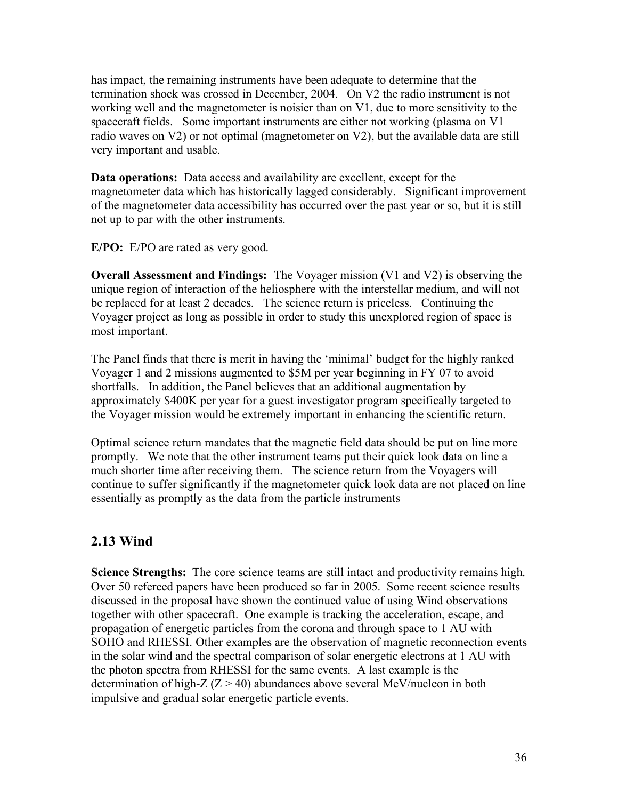has impact, the remaining instruments have been adequate to determine that the termination shock was crossed in December, 2004. On V2 the radio instrument is not working well and the magnetometer is noisier than on V1, due to more sensitivity to the spacecraft fields. Some important instruments are either not working (plasma on V1 radio waves on V2) or not optimal (magnetometer on V2), but the available data are still very important and usable.

**Data operations:** Data access and availability are excellent, except for the magnetometer data which has historically lagged considerably. Significant improvement of the magnetometer data accessibility has occurred over the past year or so, but it is still not up to par with the other instruments.

**E/PO:** E/PO are rated as very good.

**Overall Assessment and Findings:** The Voyager mission (V1 and V2) is observing the unique region of interaction of the heliosphere with the interstellar medium, and will not be replaced for at least 2 decades. The science return is priceless. Continuing the Voyager project as long as possible in order to study this unexplored region of space is most important.

The Panel finds that there is merit in having the 'minimal' budget for the highly ranked Voyager 1 and 2 missions augmented to \$5M per year beginning in FY 07 to avoid shortfalls. In addition, the Panel believes that an additional augmentation by approximately \$400K per year for a guest investigator program specifically targeted to the Voyager mission would be extremely important in enhancing the scientific return.

Optimal science return mandates that the magnetic field data should be put on line more promptly. We note that the other instrument teams put their quick look data on line a much shorter time after receiving them. The science return from the Voyagers will continue to suffer significantly if the magnetometer quick look data are not placed on line essentially as promptly as the data from the particle instruments

### **2.13 Wind**

**Science Strengths:** The core science teams are still intact and productivity remains high. Over 50 refereed papers have been produced so far in 2005. Some recent science results discussed in the proposal have shown the continued value of using Wind observations together with other spacecraft. One example is tracking the acceleration, escape, and propagation of energetic particles from the corona and through space to 1 AU with SOHO and RHESSI. Other examples are the observation of magnetic reconnection events in the solar wind and the spectral comparison of solar energetic electrons at 1 AU with the photon spectra from RHESSI for the same events. A last example is the determination of high-Z  $(Z > 40)$  abundances above several MeV/nucleon in both impulsive and gradual solar energetic particle events.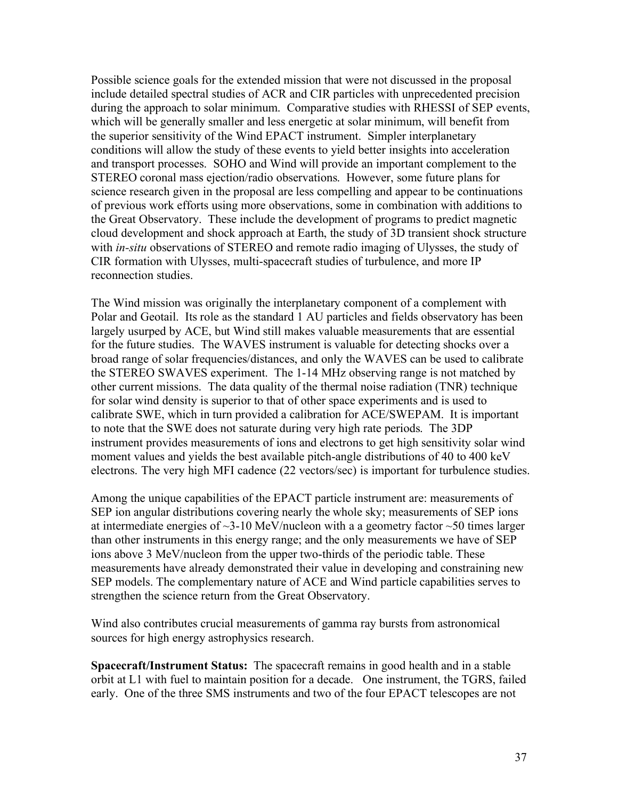Possible science goals for the extended mission that were not discussed in the proposal include detailed spectral studies of ACR and CIR particles with unprecedented precision during the approach to solar minimum. Comparative studies with RHESSI of SEP events, which will be generally smaller and less energetic at solar minimum, will benefit from the superior sensitivity of the Wind EPACT instrument. Simpler interplanetary conditions will allow the study of these events to yield better insights into acceleration and transport processes. SOHO and Wind will provide an important complement to the STEREO coronal mass ejection/radio observations. However, some future plans for science research given in the proposal are less compelling and appear to be continuations of previous work efforts using more observations, some in combination with additions to the Great Observatory. These include the development of programs to predict magnetic cloud development and shock approach at Earth, the study of 3D transient shock structure with *in-situ* observations of STEREO and remote radio imaging of Ulysses, the study of CIR formation with Ulysses, multi-spacecraft studies of turbulence, and more IP reconnection studies.

The Wind mission was originally the interplanetary component of a complement with Polar and Geotail. Its role as the standard 1 AU particles and fields observatory has been largely usurped by ACE, but Wind still makes valuable measurements that are essential for the future studies. The WAVES instrument is valuable for detecting shocks over a broad range of solar frequencies/distances, and only the WAVES can be used to calibrate the STEREO SWAVES experiment. The 1-14 MHz observing range is not matched by other current missions. The data quality of the thermal noise radiation (TNR) technique for solar wind density is superior to that of other space experiments and is used to calibrate SWE, which in turn provided a calibration for ACE/SWEPAM. It is important to note that the SWE does not saturate during very high rate periods. The 3DP instrument provides measurements of ions and electrons to get high sensitivity solar wind moment values and yields the best available pitch-angle distributions of 40 to 400 keV electrons. The very high MFI cadence (22 vectors/sec) is important for turbulence studies.

Among the unique capabilities of the EPACT particle instrument are: measurements of SEP ion angular distributions covering nearly the whole sky; measurements of SEP ions at intermediate energies of  $\sim$ 3-10 MeV/nucleon with a a geometry factor  $\sim$ 50 times larger than other instruments in this energy range; and the only measurements we have of SEP ions above 3 MeV/nucleon from the upper two-thirds of the periodic table. These measurements have already demonstrated their value in developing and constraining new SEP models. The complementary nature of ACE and Wind particle capabilities serves to strengthen the science return from the Great Observatory.

Wind also contributes crucial measurements of gamma ray bursts from astronomical sources for high energy astrophysics research.

**Spacecraft/Instrument Status:** The spacecraft remains in good health and in a stable orbit at L1 with fuel to maintain position for a decade. One instrument, the TGRS, failed early. One of the three SMS instruments and two of the four EPACT telescopes are not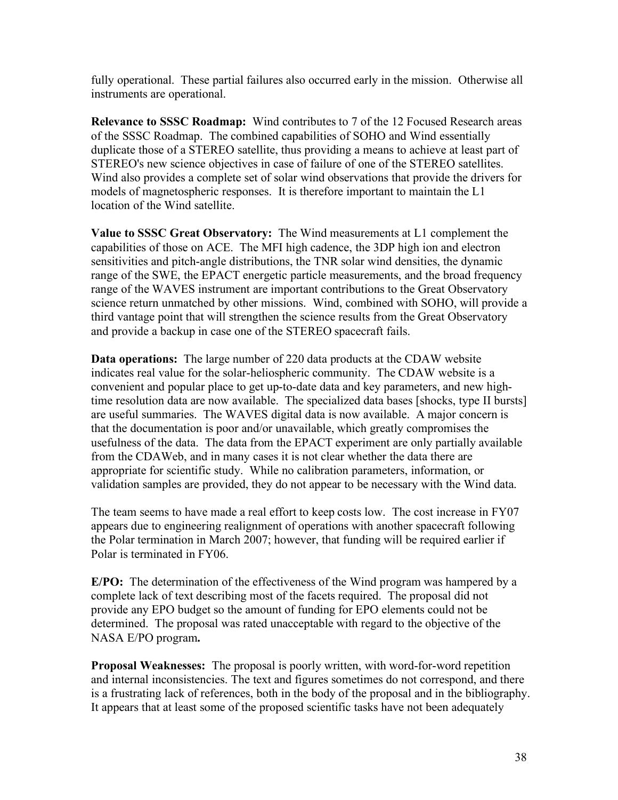fully operational. These partial failures also occurred early in the mission. Otherwise all instruments are operational.

**Relevance to SSSC Roadmap:** Wind contributes to 7 of the 12 Focused Research areas of the SSSC Roadmap. The combined capabilities of SOHO and Wind essentially duplicate those of a STEREO satellite, thus providing a means to achieve at least part of STEREO's new science objectives in case of failure of one of the STEREO satellites. Wind also provides a complete set of solar wind observations that provide the drivers for models of magnetospheric responses. It is therefore important to maintain the L1 location of the Wind satellite.

**Value to SSSC Great Observatory:** The Wind measurements at L1 complement the capabilities of those on ACE. The MFI high cadence, the 3DP high ion and electron sensitivities and pitch-angle distributions, the TNR solar wind densities, the dynamic range of the SWE, the EPACT energetic particle measurements, and the broad frequency range of the WAVES instrument are important contributions to the Great Observatory science return unmatched by other missions. Wind, combined with SOHO, will provide a third vantage point that will strengthen the science results from the Great Observatory and provide a backup in case one of the STEREO spacecraft fails.

**Data operations:** The large number of 220 data products at the CDAW website indicates real value for the solar-heliospheric community. The CDAW website is a convenient and popular place to get up-to-date data and key parameters, and new hightime resolution data are now available. The specialized data bases [shocks, type II bursts] are useful summaries. The WAVES digital data is now available. A major concern is that the documentation is poor and/or unavailable, which greatly compromises the usefulness of the data. The data from the EPACT experiment are only partially available from the CDAWeb, and in many cases it is not clear whether the data there are appropriate for scientific study. While no calibration parameters, information, or validation samples are provided, they do not appear to be necessary with the Wind data.

The team seems to have made a real effort to keep costs low. The cost increase in FY07 appears due to engineering realignment of operations with another spacecraft following the Polar termination in March 2007; however, that funding will be required earlier if Polar is terminated in FY06.

**E/PO:** The determination of the effectiveness of the Wind program was hampered by a complete lack of text describing most of the facets required. The proposal did not provide any EPO budget so the amount of funding for EPO elements could not be determined. The proposal was rated unacceptable with regard to the objective of the NASA E/PO program**.** 

**Proposal Weaknesses:** The proposal is poorly written, with word-for-word repetition and internal inconsistencies. The text and figures sometimes do not correspond, and there is a frustrating lack of references, both in the body of the proposal and in the bibliography. It appears that at least some of the proposed scientific tasks have not been adequately